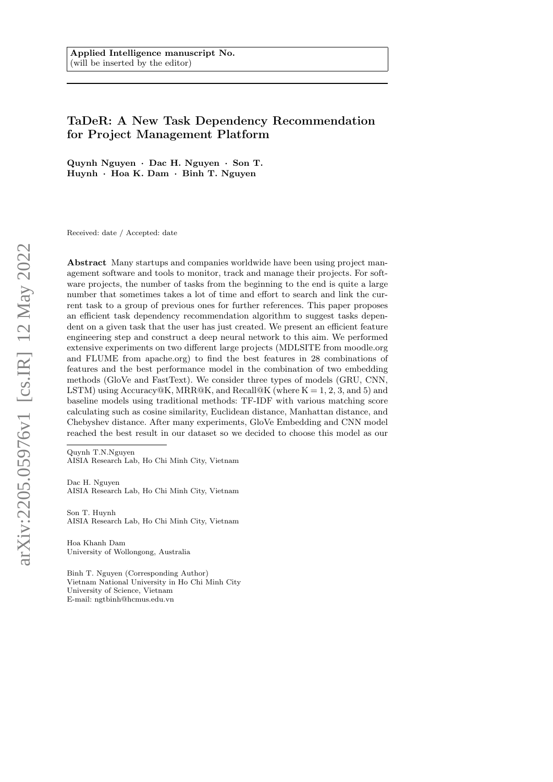# TaDeR: A New Task Dependency Recommendation for Project Management Platform

Quynh Nguyen · Dac H. Nguyen · Son T. Huynh · Hoa K. Dam · Binh T. Nguyen

Received: date / Accepted: date

Abstract Many startups and companies worldwide have been using project management software and tools to monitor, track and manage their projects. For software projects, the number of tasks from the beginning to the end is quite a large number that sometimes takes a lot of time and effort to search and link the current task to a group of previous ones for further references. This paper proposes an efficient task dependency recommendation algorithm to suggest tasks dependent on a given task that the user has just created. We present an efficient feature engineering step and construct a deep neural network to this aim. We performed extensive experiments on two different large projects (MDLSITE from moodle.org and FLUME from apache.org) to find the best features in 28 combinations of features and the best performance model in the combination of two embedding methods (GloVe and FastText). We consider three types of models (GRU, CNN, LSTM) using  $Accuracy@K$ , MRR@K, and Recall@K (where  $K = 1, 2, 3$ , and 5) and baseline models using traditional methods: TF-IDF with various matching score calculating such as cosine similarity, Euclidean distance, Manhattan distance, and Chebyshev distance. After many experiments, GloVe Embedding and CNN model reached the best result in our dataset so we decided to choose this model as our

Quynh T.N.Nguyen AISIA Research Lab, Ho Chi Minh City, Vietnam

Dac H. Nguyen AISIA Research Lab, Ho Chi Minh City, Vietnam

Son T. Huynh AISIA Research Lab, Ho Chi Minh City, Vietnam

Hoa Khanh Dam University of Wollongong, Australia

Binh T. Nguyen (Corresponding Author) Vietnam National University in Ho Chi Minh City University of Science, Vietnam E-mail: ngtbinh@hcmus.edu.vn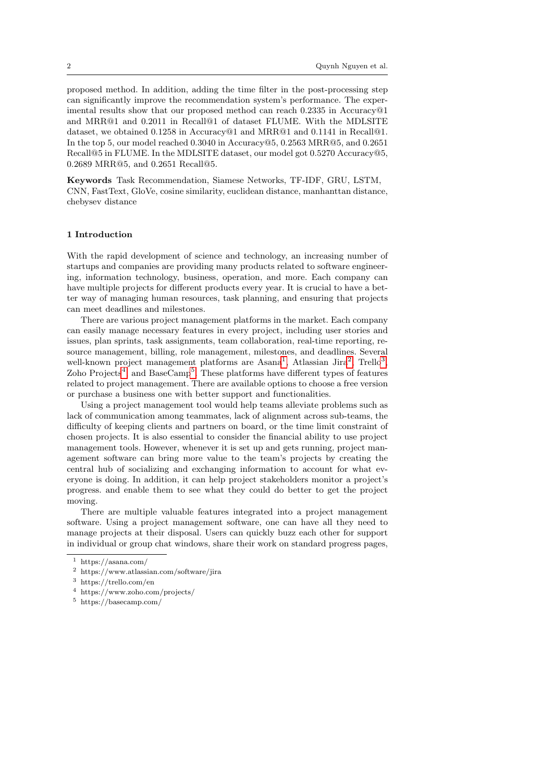proposed method. In addition, adding the time filter in the post-processing step can significantly improve the recommendation system's performance. The experimental results show that our proposed method can reach 0.2335 in Accuracy@1 and MRR@1 and 0.2011 in Recall@1 of dataset FLUME. With the MDLSITE dataset, we obtained 0.1258 in Accuracy@1 and MRR@1 and 0.1141 in Recall@1. In the top 5, our model reached 0.3040 in Accuracy@5, 0.2563 MRR@5, and 0.2651 Recall@5 in FLUME. In the MDLSITE dataset, our model got 0.5270 Accuracy@5, 0.2689 MRR@5, and 0.2651 Recall@5.

Keywords Task Recommendation, Siamese Networks, TF-IDF, GRU, LSTM, CNN, FastText, GloVe, cosine similarity, euclidean distance, manhanttan distance, chebysev distance

## 1 Introduction

With the rapid development of science and technology, an increasing number of startups and companies are providing many products related to software engineering, information technology, business, operation, and more. Each company can have multiple projects for different products every year. It is crucial to have a better way of managing human resources, task planning, and ensuring that projects can meet deadlines and milestones.

There are various project management platforms in the market. Each company can easily manage necessary features in every project, including user stories and issues, plan sprints, task assignments, team collaboration, real-time reporting, resource management, billing, role management, milestones, and deadlines. Several well-known project management platforms are Asana<sup>[1](#page-1-0)</sup>, Atlassian Jira<sup>[2](#page-1-1)</sup>, Trello<sup>[3](#page-1-2)</sup>, Zoho Projects<sup>[4](#page-1-3)</sup>, and BaseCamp<sup>[5](#page-1-4)</sup>. These platforms have different types of features related to project management. There are available options to choose a free version or purchase a business one with better support and functionalities.

Using a project management tool would help teams alleviate problems such as lack of communication among teammates, lack of alignment across sub-teams, the difficulty of keeping clients and partners on board, or the time limit constraint of chosen projects. It is also essential to consider the financial ability to use project management tools. However, whenever it is set up and gets running, project management software can bring more value to the team's projects by creating the central hub of socializing and exchanging information to account for what everyone is doing. In addition, it can help project stakeholders monitor a project's progress. and enable them to see what they could do better to get the project moving.

There are multiple valuable features integrated into a project management software. Using a project management software, one can have all they need to manage projects at their disposal. Users can quickly buzz each other for support in individual or group chat windows, share their work on standard progress pages,

<span id="page-1-0"></span><sup>1</sup> https://asana.com/

<span id="page-1-1"></span><sup>2</sup> https://www.atlassian.com/software/jira

<span id="page-1-2"></span><sup>3</sup> https://trello.com/en

<span id="page-1-3"></span><sup>4</sup> https://www.zoho.com/projects/

<span id="page-1-4"></span><sup>5</sup> https://basecamp.com/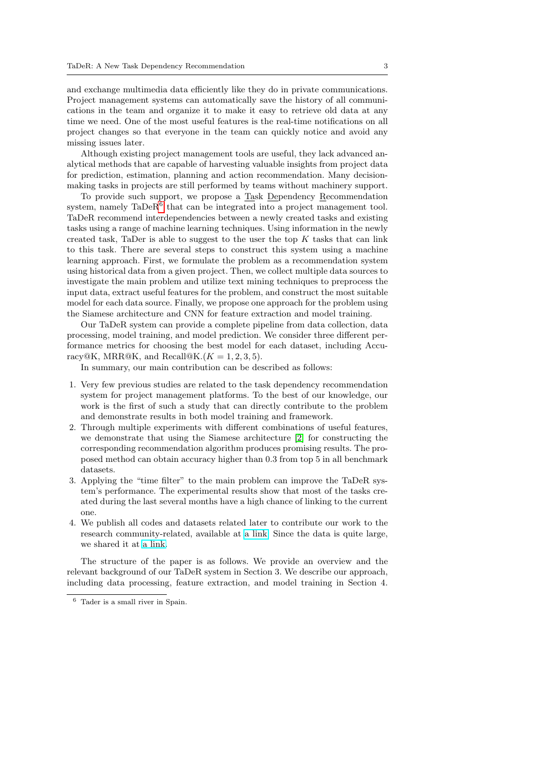and exchange multimedia data efficiently like they do in private communications. Project management systems can automatically save the history of all communications in the team and organize it to make it easy to retrieve old data at any time we need. One of the most useful features is the real-time notifications on all project changes so that everyone in the team can quickly notice and avoid any missing issues later.

Although existing project management tools are useful, they lack advanced analytical methods that are capable of harvesting valuable insights from project data for prediction, estimation, planning and action recommendation. Many decisionmaking tasks in projects are still performed by teams without machinery support.

To provide such support, we propose a Task Dependency Recommendation system, namely  $\text{Tab}^6$  $\text{Tab}^6$  that can be integrated into a project management tool. TaDeR recommend interdependencies between a newly created tasks and existing tasks using a range of machine learning techniques. Using information in the newly created task, TaDer is able to suggest to the user the top  $K$  tasks that can link to this task. There are several steps to construct this system using a machine learning approach. First, we formulate the problem as a recommendation system using historical data from a given project. Then, we collect multiple data sources to investigate the main problem and utilize text mining techniques to preprocess the input data, extract useful features for the problem, and construct the most suitable model for each data source. Finally, we propose one approach for the problem using the Siamese architecture and CNN for feature extraction and model training.

Our TaDeR system can provide a complete pipeline from data collection, data processing, model training, and model prediction. We consider three different performance metrics for choosing the best model for each dataset, including Accuracy@K, MRR@K, and Recall@K. $(K = 1, 2, 3, 5)$ .

In summary, our main contribution can be described as follows:

- 1. Very few previous studies are related to the task dependency recommendation system for project management platforms. To the best of our knowledge, our work is the first of such a study that can directly contribute to the problem and demonstrate results in both model training and framework.
- 2. Through multiple experiments with different combinations of useful features, we demonstrate that using the Siamese architecture [\[2\]](#page-18-0) for constructing the corresponding recommendation algorithm produces promising results. The proposed method can obtain accuracy higher than 0.3 from top 5 in all benchmark datasets.
- 3. Applying the "time filter" to the main problem can improve the TaDeR system's performance. The experimental results show that most of the tasks created during the last several months have a high chance of linking to the current one.
- 4. We publish all codes and datasets related later to contribute our work to the research community-related, available at [a link.](https://github.com/thuynguyetquynh/TaDeR-A-New-Task-Dependency-Recommendation-for-Project-Management-Platform) Since the data is quite large, we shared it at [a link.](https://www.dropbox.com/sh/v9foat8opqyl88y/AAD-NzagFLIHISihwyW6XPjpa?dl=0)

The structure of the paper is as follows. We provide an overview and the relevant background of our TaDeR system in Section 3. We describe our approach, including data processing, feature extraction, and model training in Section 4.

<span id="page-2-0"></span><sup>6</sup> Tader is a small river in Spain.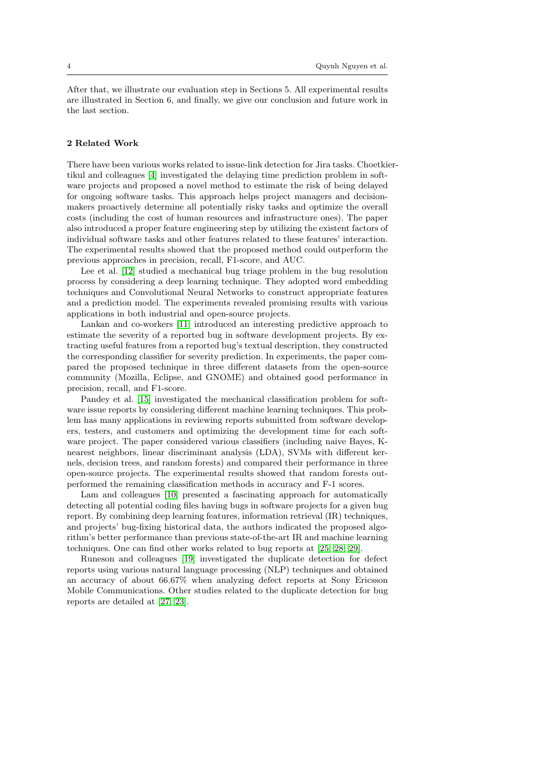After that, we illustrate our evaluation step in Sections 5. All experimental results are illustrated in Section 6, and finally, we give our conclusion and future work in the last section.

## 2 Related Work

There have been various works related to issue-link detection for Jira tasks. Choetkiertikul and colleagues [\[4\]](#page-18-1) investigated the delaying time prediction problem in software projects and proposed a novel method to estimate the risk of being delayed for ongoing software tasks. This approach helps project managers and decisionmakers proactively determine all potentially risky tasks and optimize the overall costs (including the cost of human resources and infrastructure ones). The paper also introduced a proper feature engineering step by utilizing the existent factors of individual software tasks and other features related to these features' interaction. The experimental results showed that the proposed method could outperform the previous approaches in precision, recall, F1-score, and AUC.

Lee et al. [\[12\]](#page-23-0) studied a mechanical bug triage problem in the bug resolution process by considering a deep learning technique. They adopted word embedding techniques and Convolutional Neural Networks to construct appropriate features and a prediction model. The experiments revealed promising results with various applications in both industrial and open-source projects.

Lankan and co-workers [\[11\]](#page-23-1) introduced an interesting predictive approach to estimate the severity of a reported bug in software development projects. By extracting useful features from a reported bug's textual description, they constructed the corresponding classifier for severity prediction. In experiments, the paper compared the proposed technique in three different datasets from the open-source community (Mozilla, Eclipse, and GNOME) and obtained good performance in precision, recall, and F1-score.

Pandey et al. [\[15\]](#page-23-2) investigated the mechanical classification problem for software issue reports by considering different machine learning techniques. This problem has many applications in reviewing reports submitted from software developers, testers, and customers and optimizing the development time for each software project. The paper considered various classifiers (including naive Bayes, Knearest neighbors, linear discriminant analysis (LDA), SVMs with different kernels, decision trees, and random forests) and compared their performance in three open-source projects. The experimental results showed that random forests outperformed the remaining classification methods in accuracy and F-1 scores.

Lam and colleagues [\[10\]](#page-22-0) presented a fascinating approach for automatically detecting all potential coding files having bugs in software projects for a given bug report. By combining deep learning features, information retrieval (IR) techniques, and projects' bug-fixing historical data, the authors indicated the proposed algorithm's better performance than previous state-of-the-art IR and machine learning techniques. One can find other works related to bug reports at [\[25,](#page-24-0) [28,](#page-24-1) [29\]](#page-24-2).

Runeson and colleagues [\[19\]](#page-23-3) investigated the duplicate detection for defect reports using various natural language processing (NLP) techniques and obtained an accuracy of about 66.67% when analyzing defect reports at Sony Ericsson Mobile Communications. Other studies related to the duplicate detection for bug reports are detailed at [\[27,](#page-24-3) [23\]](#page-23-4).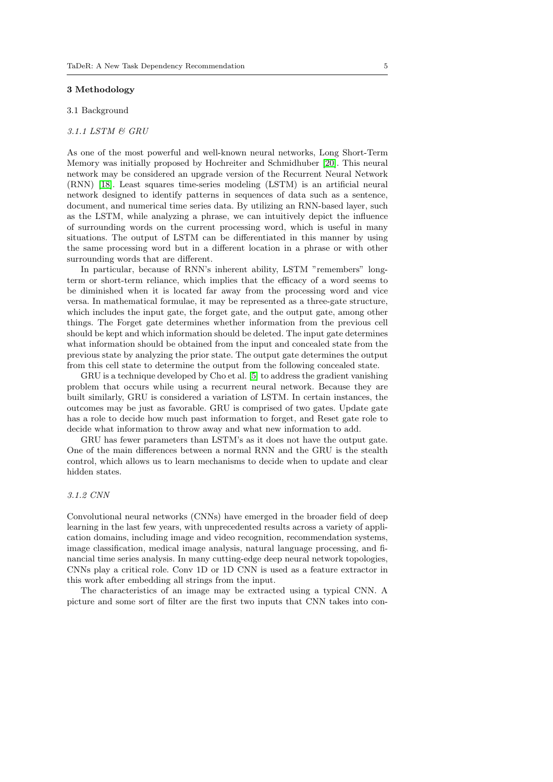#### 3 Methodology

# 3.1 Background

## 3.1.1 LSTM & GRU

As one of the most powerful and well-known neural networks, Long Short-Term Memory was initially proposed by Hochreiter and Schmidhuber [\[20\]](#page-23-5). This neural network may be considered an upgrade version of the Recurrent Neural Network (RNN) [\[18\]](#page-23-6). Least squares time-series modeling (LSTM) is an artificial neural network designed to identify patterns in sequences of data such as a sentence, document, and numerical time series data. By utilizing an RNN-based layer, such as the LSTM, while analyzing a phrase, we can intuitively depict the influence of surrounding words on the current processing word, which is useful in many situations. The output of LSTM can be differentiated in this manner by using the same processing word but in a different location in a phrase or with other surrounding words that are different.

In particular, because of RNN's inherent ability, LSTM "remembers" longterm or short-term reliance, which implies that the efficacy of a word seems to be diminished when it is located far away from the processing word and vice versa. In mathematical formulae, it may be represented as a three-gate structure, which includes the input gate, the forget gate, and the output gate, among other things. The Forget gate determines whether information from the previous cell should be kept and which information should be deleted. The input gate determines what information should be obtained from the input and concealed state from the previous state by analyzing the prior state. The output gate determines the output from this cell state to determine the output from the following concealed state.

GRU is a technique developed by Cho et al. [\[5\]](#page-19-0) to address the gradient vanishing problem that occurs while using a recurrent neural network. Because they are built similarly, GRU is considered a variation of LSTM. In certain instances, the outcomes may be just as favorable. GRU is comprised of two gates. Update gate has a role to decide how much past information to forget, and Reset gate role to decide what information to throw away and what new information to add.

GRU has fewer parameters than LSTM's as it does not have the output gate. One of the main differences between a normal RNN and the GRU is the stealth control, which allows us to learn mechanisms to decide when to update and clear hidden states.

# 3.1.2 CNN

Convolutional neural networks (CNNs) have emerged in the broader field of deep learning in the last few years, with unprecedented results across a variety of application domains, including image and video recognition, recommendation systems, image classification, medical image analysis, natural language processing, and financial time series analysis. In many cutting-edge deep neural network topologies, CNNs play a critical role. Conv 1D or 1D CNN is used as a feature extractor in this work after embedding all strings from the input.

The characteristics of an image may be extracted using a typical CNN. A picture and some sort of filter are the first two inputs that CNN takes into con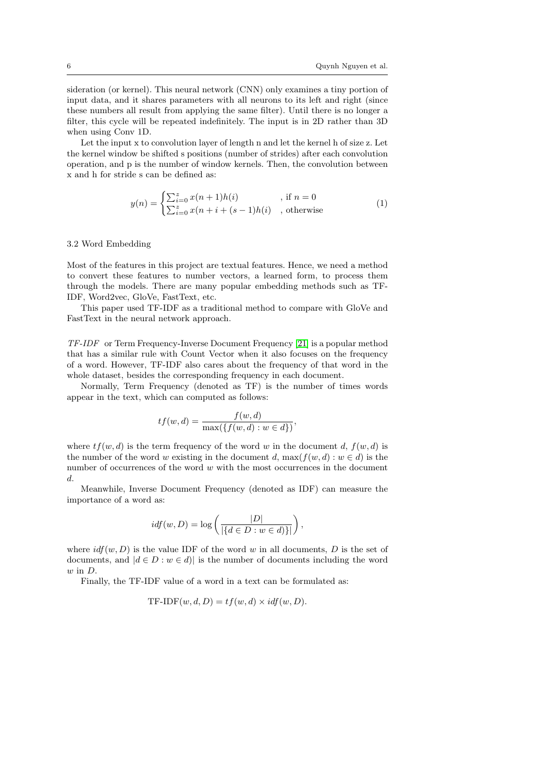sideration (or kernel). This neural network (CNN) only examines a tiny portion of input data, and it shares parameters with all neurons to its left and right (since these numbers all result from applying the same filter). Until there is no longer a filter, this cycle will be repeated indefinitely. The input is in 2D rather than 3D when using Conv 1D.

Let the input x to convolution layer of length n and let the kernel h of size z. Let the kernel window be shifted s positions (number of strides) after each convolution operation, and p is the number of window kernels. Then, the convolution between x and h for stride s can be defined as:

$$
y(n) = \begin{cases} \sum_{i=0}^{z} x(n+1)h(i) & , \text{if } n = 0\\ \sum_{i=0}^{z} x(n+i+(s-1)h(i) & , \text{otherwise} \end{cases}
$$
 (1)

#### 3.2 Word Embedding

Most of the features in this project are textual features. Hence, we need a method to convert these features to number vectors, a learned form, to process them through the models. There are many popular embedding methods such as TF-IDF, Word2vec, GloVe, FastText, etc.

This paper used TF-IDF as a traditional method to compare with GloVe and FastText in the neural network approach.

TF-IDF or Term Frequency-Inverse Document Frequency [\[21\]](#page-23-7) is a popular method that has a similar rule with Count Vector when it also focuses on the frequency of a word. However, TF-IDF also cares about the frequency of that word in the whole dataset, besides the corresponding frequency in each document.

Normally, Term Frequency (denoted as TF) is the number of times words appear in the text, which can computed as follows:

$$
tf(w,d)=\frac{f(w,d)}{\max(\{f(w,d):w\in d\})},
$$

where  $tf(w, d)$  is the term frequency of the word w in the document d,  $f(w, d)$  is the number of the word w existing in the document d,  $\max(f(w, d) : w \in d)$  is the number of occurrences of the word  $w$  with the most occurrences in the document d.

Meanwhile, Inverse Document Frequency (denoted as IDF) can measure the importance of a word as:

$$
idf(w, D) = \log \left( \frac{|D|}{|\{d \in D : w \in d\}|} \right),\,
$$

where  $\textit{idf}(w, D)$  is the value IDF of the word w in all documents, D is the set of documents, and  $|d \in D : w \in d$  is the number of documents including the word  $w$  in  $D$ .

Finally, the TF-IDF value of a word in a text can be formulated as:

TF-IDF
$$
(w, d, D) = tf(w, d) \times idf(w, D)
$$
.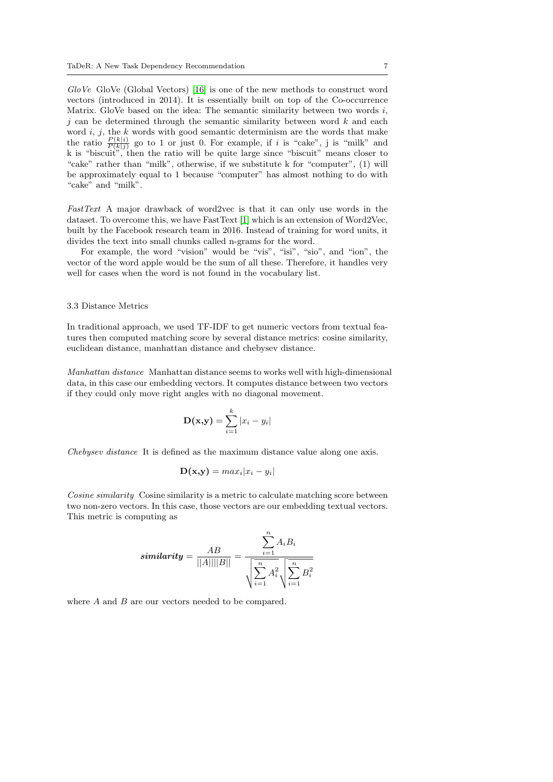GloVe GloVe (Global Vectors) [\[16\]](#page-23-8) is one of the new methods to construct word vectors (introduced in 2014). It is essentially built on top of the Co-occurrence Matrix. GloVe based on the idea: The semantic similarity between two words  $i$ ,  $j$  can be determined through the semantic similarity between word  $k$  and each word  $i, j$ , the  $k$  words with good semantic determinism are the words that make the ratio  $\frac{P(k|i)}{P(k|j)}$  go to 1 or just 0. For example, if i is "cake", j is "milk" and k is "biscuit", then the ratio will be quite large since "biscuit" means closer to "cake" rather than "milk", otherwise, if we substitute k for "computer", (1) will be approximately equal to 1 because "computer" has almost nothing to do with "cake" and "milk".

FastText A major drawback of word2vec is that it can only use words in the dataset. To overcome this, we have FastText [\[1\]](#page-17-0) which is an extension of Word2Vec, built by the Facebook research team in 2016. Instead of training for word units, it divides the text into small chunks called n-grams for the word.

For example, the word "vision" would be "vis", "isi", "sio", and "ion", the vector of the word apple would be the sum of all these. Therefore, it handles very well for cases when the word is not found in the vocabulary list.

### 3.3 Distance Metrics

In traditional approach, we used TF-IDF to get numeric vectors from textual features then computed matching score by several distance metrics: cosine similarity, euclidean distance, manhattan distance and chebysev distance.

Manhattan distance Manhattan distance seems to works well with high-dimensional data, in this case our embedding vectors. It computes distance between two vectors if they could only move right angles with no diagonal movement.

$$
\mathbf{D}(\mathbf{x}, \mathbf{y}) = \sum_{i=1}^{k} |x_i - y_i|
$$

Chebysev distance It is defined as the maximum distance value along one axis.

$$
\mathbf{D}(\mathbf{x},\mathbf{y}) = max_i |x_i - y_i|
$$

Cosine similarity Cosine similarity is a metric to calculate matching score between two non-zero vectors. In this case, those vectors are our embedding textual vectors. This metric is computing as

$$
similarity = \frac{AB}{||A|| ||B||} = \frac{\sum_{i=1}^{n} A_i B_i}{\sqrt{\sum_{i=1}^{n} A_i^2} \sqrt{\sum_{i=1}^{n} B_i^2}}
$$

where A and B are our vectors needed to be compared.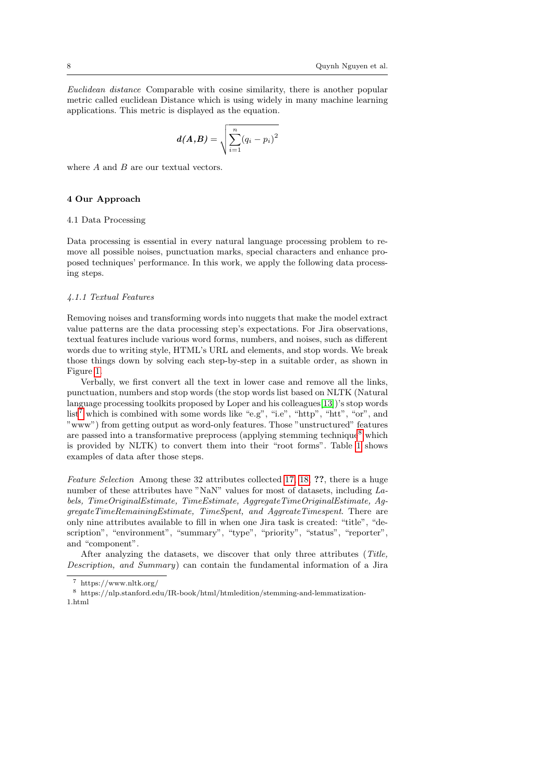Euclidean distance Comparable with cosine similarity, there is another popular metric called euclidean Distance which is using widely in many machine learning applications. This metric is displayed as the equation.

$$
d(A,B) = \sqrt{\sum_{i=1}^{n} (q_i - p_i)^2}
$$

where  $A$  and  $B$  are our textual vectors.

# 4 Our Approach

# 4.1 Data Processing

Data processing is essential in every natural language processing problem to remove all possible noises, punctuation marks, special characters and enhance proposed techniques' performance. In this work, we apply the following data processing steps.

#### 4.1.1 Textual Features

Removing noises and transforming words into nuggets that make the model extract value patterns are the data processing step's expectations. For Jira observations, textual features include various word forms, numbers, and noises, such as different words due to writing style, HTML's URL and elements, and stop words. We break those things down by solving each step-by-step in a suitable order, as shown in Figure [1.](#page-8-0)

Verbally, we first convert all the text in lower case and remove all the links, punctuation, numbers and stop words (the stop words list based on NLTK (Natural language processing toolkits proposed by Loper and his colleagues[\[13\]](#page-23-9))'s stop words  $list<sup>7</sup>$  $list<sup>7</sup>$  $list<sup>7</sup>$  which is combined with some words like "e.g", "i.e", "http", "htt", "or", and "www") from getting output as word-only features. Those "unstructured" features are passed into a transformative preprocess (applying stemming technique<sup>[8](#page-7-1)</sup> which is provided by NLTK) to convert them into their "root forms". Table [1](#page-8-1) shows examples of data after those steps.

Feature Selection Among these 32 attributes collected [17,](#page-25-0) [18,](#page-26-0) 2?, there is a huge number of these attributes have "NaN" values for most of datasets, including Labels, TimeOriginalEstimate, TimeEstimate, AggregateTimeOriginalEstimate, AggregateTimeRemainingEstimate, TimeSpent, and AggreateTimespent. There are only nine attributes available to fill in when one Jira task is created: "title", "description", "environment", "summary", "type", "priority", "status", "reporter", and "component".

After analyzing the datasets, we discover that only three attributes (Title, Description, and Summary) can contain the fundamental information of a Jira

<span id="page-7-0"></span><sup>7</sup> https://www.nltk.org/

<span id="page-7-1"></span> $^8\,$ https://nlp.stanford.edu/IR-book/html/htmledition/stemming-and-lemmatization-1.html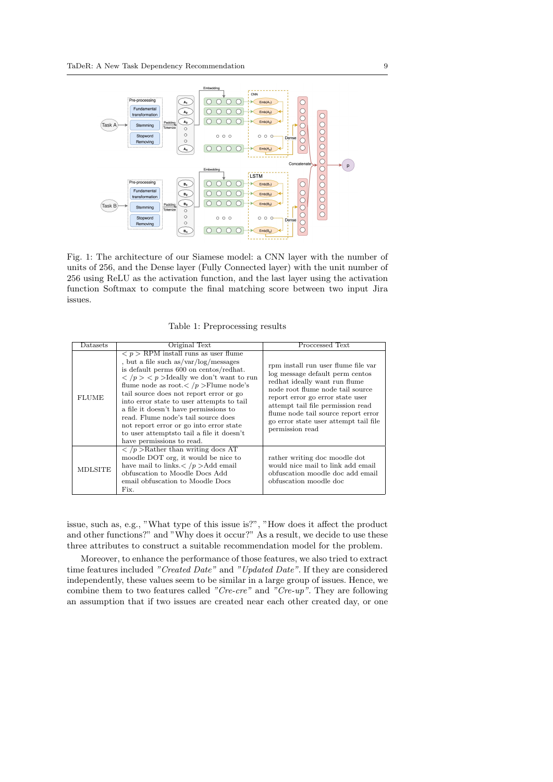<span id="page-8-0"></span>

Fig. 1: The architecture of our Siamese model: a CNN layer with the number of units of 256, and the Dense layer (Fully Connected layer) with the unit number of 256 using ReLU as the activation function, and the last layer using the activation function Softmax to compute the final matching score between two input Jira issues.

Table 1: Preprocessing results

<span id="page-8-1"></span>

| $_{\text{Datasets}}$ | Original Text                                                                                                                                                                                                                                                                                                                                                                                                                                                                                                                                                                | Processed Text                                                                                                                                                                                                                                                                                                          |
|----------------------|------------------------------------------------------------------------------------------------------------------------------------------------------------------------------------------------------------------------------------------------------------------------------------------------------------------------------------------------------------------------------------------------------------------------------------------------------------------------------------------------------------------------------------------------------------------------------|-------------------------------------------------------------------------------------------------------------------------------------------------------------------------------------------------------------------------------------------------------------------------------------------------------------------------|
| <b>FLUME</b>         | $\langle p \rangle$ RPM install runs as user flume<br>, but a file such $as/var/log/messages$<br>is default perms 600 on centos/redhat.<br>$\langle p \rangle$ /p $>$ $\langle p \rangle$ Jdeally we don't want to run<br>flume node as root. $\langle p \rangle$ Flume node's<br>tail source does not report error or go<br>into error state to user attempts to tail<br>a file it doesn't have permissions to<br>read. Flume node's tail source does<br>not report error or go into error state<br>to user attempts to tail a file it doesn't<br>have permissions to read. | rpm install run user flume file var<br>log message default perm centos<br>redhat ideally want run flume<br>node root flume node tail source<br>report error go error state user<br>attempt tail file permission read<br>flume node tail source report error<br>go error state user attempt tail file<br>permission read |
| <b>MDLSITE</b>       | $\langle p \rangle$ /p > Rather than writing docs AT<br>moodle DOT org, it would be nice to<br>have mail to links. $\langle p \rangle$ Add email<br>obfuscation to Moodle Docs Add<br>email obfuscation to Moodle Docs<br>Fix.                                                                                                                                                                                                                                                                                                                                               | rather writing doc moodle dot<br>would nice mail to link add email<br>obfuscation moodle doc add email<br>obfuscation moodle doc                                                                                                                                                                                        |

issue, such as, e.g., "What type of this issue is?", "How does it affect the product and other functions?" and "Why does it occur?" As a result, we decide to use these three attributes to construct a suitable recommendation model for the problem.

Moreover, to enhance the performance of those features, we also tried to extract time features included "Created Date" and "Updated Date". If they are considered independently, these values seem to be similar in a large group of issues. Hence, we combine them to two features called "Cre-cre" and "Cre-up". They are following an assumption that if two issues are created near each other created day, or one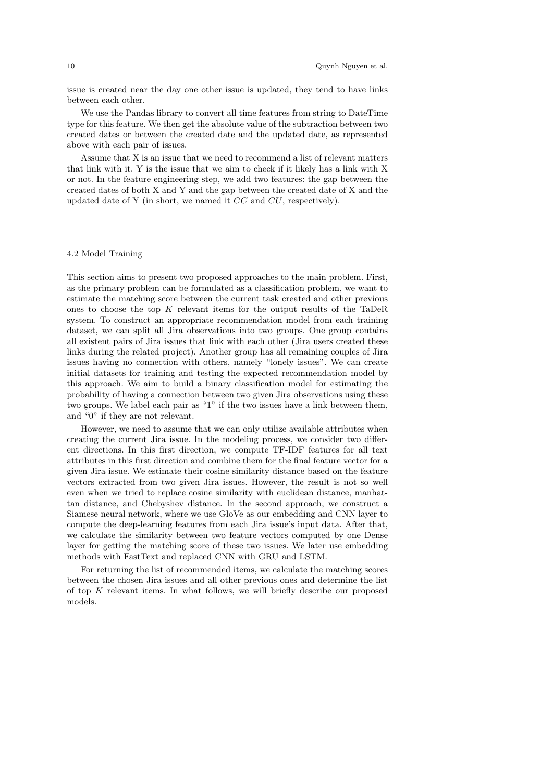issue is created near the day one other issue is updated, they tend to have links between each other.

We use the Pandas library to convert all time features from string to DateTime type for this feature. We then get the absolute value of the subtraction between two created dates or between the created date and the updated date, as represented above with each pair of issues.

Assume that X is an issue that we need to recommend a list of relevant matters that link with it. Y is the issue that we aim to check if it likely has a link with X or not. In the feature engineering step, we add two features: the gap between the created dates of both X and Y and the gap between the created date of X and the updated date of Y (in short, we named it CC and CU, respectively).

#### 4.2 Model Training

This section aims to present two proposed approaches to the main problem. First, as the primary problem can be formulated as a classification problem, we want to estimate the matching score between the current task created and other previous ones to choose the top  $K$  relevant items for the output results of the TaDeR system. To construct an appropriate recommendation model from each training dataset, we can split all Jira observations into two groups. One group contains all existent pairs of Jira issues that link with each other (Jira users created these links during the related project). Another group has all remaining couples of Jira issues having no connection with others, namely "lonely issues". We can create initial datasets for training and testing the expected recommendation model by this approach. We aim to build a binary classification model for estimating the probability of having a connection between two given Jira observations using these two groups. We label each pair as "1" if the two issues have a link between them, and "0" if they are not relevant.

However, we need to assume that we can only utilize available attributes when creating the current Jira issue. In the modeling process, we consider two different directions. In this first direction, we compute TF-IDF features for all text attributes in this first direction and combine them for the final feature vector for a given Jira issue. We estimate their cosine similarity distance based on the feature vectors extracted from two given Jira issues. However, the result is not so well even when we tried to replace cosine similarity with euclidean distance, manhattan distance, and Chebyshev distance. In the second approach, we construct a Siamese neural network, where we use GloVe as our embedding and CNN layer to compute the deep-learning features from each Jira issue's input data. After that, we calculate the similarity between two feature vectors computed by one Dense layer for getting the matching score of these two issues. We later use embedding methods with FastText and replaced CNN with GRU and LSTM.

For returning the list of recommended items, we calculate the matching scores between the chosen Jira issues and all other previous ones and determine the list of top K relevant items. In what follows, we will briefly describe our proposed models.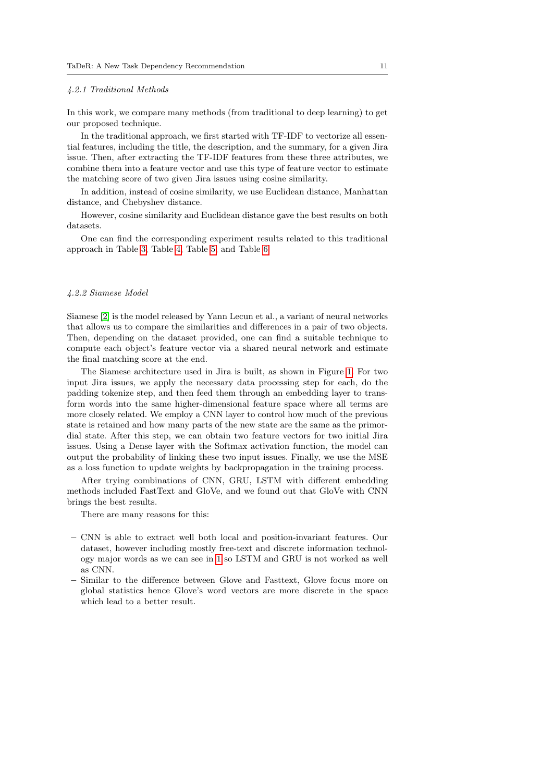#### 4.2.1 Traditional Methods

In this work, we compare many methods (from traditional to deep learning) to get our proposed technique.

In the traditional approach, we first started with TF-IDF to vectorize all essential features, including the title, the description, and the summary, for a given Jira issue. Then, after extracting the TF-IDF features from these three attributes, we combine them into a feature vector and use this type of feature vector to estimate the matching score of two given Jira issues using cosine similarity.

In addition, instead of cosine similarity, we use Euclidean distance, Manhattan distance, and Chebyshev distance.

However, cosine similarity and Euclidean distance gave the best results on both datasets.

One can find the corresponding experiment results related to this traditional approach in Table [3,](#page-16-0) Table [4,](#page-16-1) Table [5,](#page-16-2) and Table [6.](#page-16-3)

## 4.2.2 Siamese Model

Siamese [\[2\]](#page-18-0) is the model released by Yann Lecun et al., a variant of neural networks that allows us to compare the similarities and differences in a pair of two objects. Then, depending on the dataset provided, one can find a suitable technique to compute each object's feature vector via a shared neural network and estimate the final matching score at the end.

The Siamese architecture used in Jira is built, as shown in Figure [1.](#page-8-0) For two input Jira issues, we apply the necessary data processing step for each, do the padding tokenize step, and then feed them through an embedding layer to transform words into the same higher-dimensional feature space where all terms are more closely related. We employ a CNN layer to control how much of the previous state is retained and how many parts of the new state are the same as the primordial state. After this step, we can obtain two feature vectors for two initial Jira issues. Using a Dense layer with the Softmax activation function, the model can output the probability of linking these two input issues. Finally, we use the MSE as a loss function to update weights by backpropagation in the training process.

After trying combinations of CNN, GRU, LSTM with different embedding methods included FastText and GloVe, and we found out that GloVe with CNN brings the best results.

There are many reasons for this:

- CNN is able to extract well both local and position-invariant features. Our dataset, however including mostly free-text and discrete information technology major words as we can see in [1](#page-8-1) so LSTM and GRU is not worked as well as CNN.
- Similar to the difference between Glove and Fasttext, Glove focus more on global statistics hence Glove's word vectors are more discrete in the space which lead to a better result.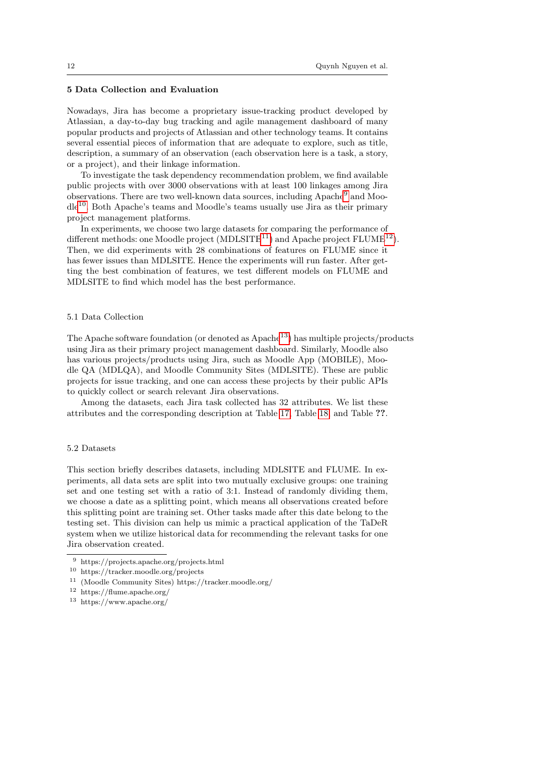## 5 Data Collection and Evaluation

Nowadays, Jira has become a proprietary issue-tracking product developed by Atlassian, a day-to-day bug tracking and agile management dashboard of many popular products and projects of Atlassian and other technology teams. It contains several essential pieces of information that are adequate to explore, such as title, description, a summary of an observation (each observation here is a task, a story, or a project), and their linkage information.

To investigate the task dependency recommendation problem, we find available public projects with over 3000 observations with at least 100 linkages among Jira observations. There are two well-known data sources, including Apache<sup>[9](#page-11-0)</sup> and Moodle[10](#page-11-1). Both Apache's teams and Moodle's teams usually use Jira as their primary project management platforms.

In experiments, we choose two large datasets for comparing the performance of different methods: one Moodle project  $(MDLSITE^{11})$  $(MDLSITE^{11})$  $(MDLSITE^{11})$  and Apache project  $FLUME^{12}$  $FLUME^{12}$  $FLUME^{12}$ ). Then, we did experiments with 28 combinations of features on FLUME since it has fewer issues than MDLSITE. Hence the experiments will run faster. After getting the best combination of features, we test different models on FLUME and MDLSITE to find which model has the best performance.

#### 5.1 Data Collection

The Apache software foundation (or denoted as  $A$ pache $13$ ) has multiple projects/products using Jira as their primary project management dashboard. Similarly, Moodle also has various projects/products using Jira, such as Moodle App (MOBILE), Moodle QA (MDLQA), and Moodle Community Sites (MDLSITE). These are public projects for issue tracking, and one can access these projects by their public APIs to quickly collect or search relevant Jira observations.

Among the datasets, each Jira task collected has 32 attributes. We list these attributes and the corresponding description at Table [17,](#page-25-0) Table [18,](#page-26-0) and Table ??.

#### 5.2 Datasets

This section briefly describes datasets, including MDLSITE and FLUME. In experiments, all data sets are split into two mutually exclusive groups: one training set and one testing set with a ratio of 3:1. Instead of randomly dividing them, we choose a date as a splitting point, which means all observations created before this splitting point are training set. Other tasks made after this date belong to the testing set. This division can help us mimic a practical application of the TaDeR system when we utilize historical data for recommending the relevant tasks for one Jira observation created.

<span id="page-11-0"></span><sup>9</sup> https://projects.apache.org/projects.html

<span id="page-11-1"></span><sup>10</sup> https://tracker.moodle.org/projects

<span id="page-11-2"></span><sup>11</sup> (Moodle Community Sites) https://tracker.moodle.org/

<span id="page-11-3"></span><sup>12</sup> https://flume.apache.org/

<span id="page-11-4"></span><sup>13</sup> https://www.apache.org/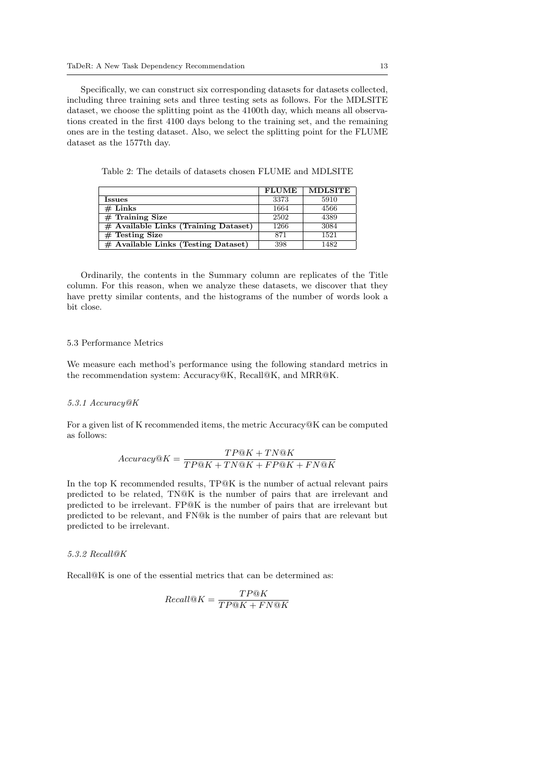Specifically, we can construct six corresponding datasets for datasets collected, including three training sets and three testing sets as follows. For the MDLSITE dataset, we choose the splitting point as the 4100th day, which means all observations created in the first 4100 days belong to the training set, and the remaining ones are in the testing dataset. Also, we select the splitting point for the FLUME dataset as the 1577th day.

|                                        | <b>FLUME</b> | <b>MDLSITE</b> |
|----------------------------------------|--------------|----------------|
| Issues                                 | 3373         | 5910           |
| $#$ Links                              | 1664         | 4566           |
| $#$ Training Size                      | 2502         | 4389           |
| $#$ Available Links (Training Dataset) | 1266         | 3084           |
| $#$ Testing Size                       | 871          | 1521           |
| $#$ Available Links (Testing Dataset)  | 398          | 1482           |

Table 2: The details of datasets chosen FLUME and MDLSITE

Ordinarily, the contents in the Summary column are replicates of the Title column. For this reason, when we analyze these datasets, we discover that they have pretty similar contents, and the histograms of the number of words look a bit close.

## 5.3 Performance Metrics

We measure each method's performance using the following standard metrics in the recommendation system: Accuracy@K, Recall@K, and MRR@K.

#### 5.3.1 Accuracy@K

For a given list of K recommended items, the metric Accuracy@K can be computed as follows:

$$
Accuracy@K = \frac{TP@K + TN@K}{TP@K + TN@K + FP@K + FN@K}
$$

In the top K recommended results, TP@K is the number of actual relevant pairs predicted to be related, TN@K is the number of pairs that are irrelevant and predicted to be irrelevant. FP@K is the number of pairs that are irrelevant but predicted to be relevant, and FN@k is the number of pairs that are relevant but predicted to be irrelevant.

# 5.3.2 Recall@K

Recall<sup>Q</sup>K is one of the essential metrics that can be determined as:

$$
Recall@K = \frac{TP@K}{TP@K + FN@K}
$$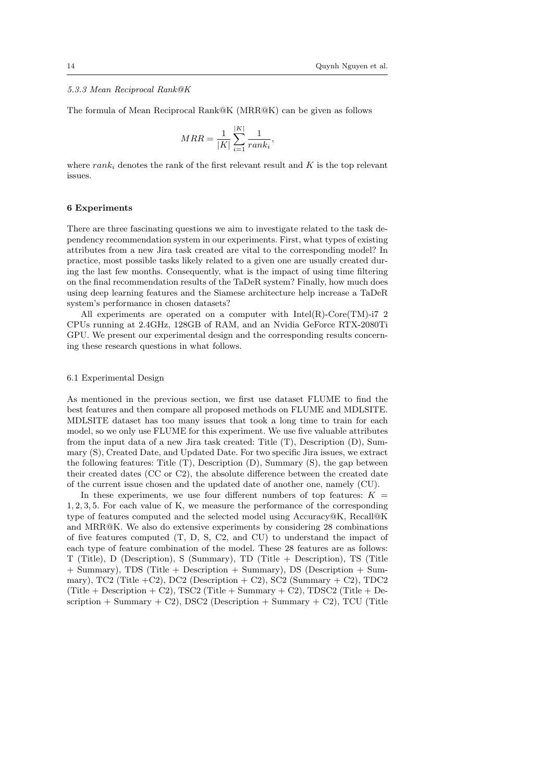## 5.3.3 Mean Reciprocal Rank@K

The formula of Mean Reciprocal Rank@K (MRR@K) can be given as follows

$$
MRR = \frac{1}{|K|} \sum_{i=1}^{|K|} \frac{1}{rank_i}
$$

,

where  $rank_i$  denotes the rank of the first relevant result and K is the top relevant issues.

### 6 Experiments

There are three fascinating questions we aim to investigate related to the task dependency recommendation system in our experiments. First, what types of existing attributes from a new Jira task created are vital to the corresponding model? In practice, most possible tasks likely related to a given one are usually created during the last few months. Consequently, what is the impact of using time filtering on the final recommendation results of the TaDeR system? Finally, how much does using deep learning features and the Siamese architecture help increase a TaDeR system's performance in chosen datasets?

All experiments are operated on a computer with  $Intel(R)$ -Core $(TM)$ -i7 2 CPUs running at 2.4GHz, 128GB of RAM, and an Nvidia GeForce RTX-2080Ti GPU. We present our experimental design and the corresponding results concerning these research questions in what follows.

#### 6.1 Experimental Design

As mentioned in the previous section, we first use dataset FLUME to find the best features and then compare all proposed methods on FLUME and MDLSITE. MDLSITE dataset has too many issues that took a long time to train for each model, so we only use FLUME for this experiment. We use five valuable attributes from the input data of a new Jira task created: Title (T), Description (D), Summary (S), Created Date, and Updated Date. For two specific Jira issues, we extract the following features: Title (T), Description (D), Summary (S), the gap between their created dates (CC or C2), the absolute difference between the created date of the current issue chosen and the updated date of another one, namely (CU).

In these experiments, we use four different numbers of top features:  $K =$ 1, 2, 3, 5. For each value of K, we measure the performance of the corresponding type of features computed and the selected model using Accuracy@K, Recall@K and MRR@K. We also do extensive experiments by considering 28 combinations of five features computed (T, D, S, C2, and CU) to understand the impact of each type of feature combination of the model. These 28 features are as follows: T (Title), D (Description), S (Summary), TD (Title + Description), TS (Title + Summary), TDS (Title + Description + Summary), DS (Description + Summary), TC2 (Title  $+C2$ ), DC2 (Description  $+ C2$ ), SC2 (Summary  $+ C2$ ), TDC2  $(Title + Description + C2), TSC2 (Title + Summary + C2), TDC2 (Title +$ scription  $+$  Summary  $+$  C2), DSC2 (Description  $+$  Summary  $+$  C2), TCU (Title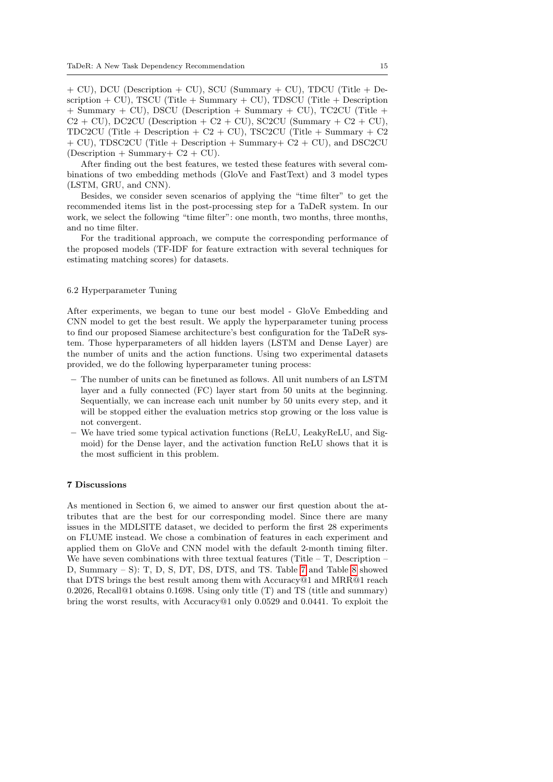+ CU), DCU (Description + CU), SCU (Summary + CU), TDCU (Title + Description  $+$  CU), TSCU (Title  $+$  Summary  $+$  CU), TDSCU (Title  $+$  Description  $+$  Summary  $+$  CU), DSCU (Description  $+$  Summary  $+$  CU), TC2CU (Title  $+$  $C2 + CU$ , DC2CU (Description + C2 + CU), SC2CU (Summary + C2 + CU), TDC2CU (Title + Description + C2 + CU), TSC2CU (Title + Summary + C2 + CU), TDSC2CU (Title + Description + Summary+ C2 + CU), and DSC2CU  $(Description + Summary + C2 + CU).$ 

After finding out the best features, we tested these features with several combinations of two embedding methods (GloVe and FastText) and 3 model types (LSTM, GRU, and CNN).

Besides, we consider seven scenarios of applying the "time filter" to get the recommended items list in the post-processing step for a TaDeR system. In our work, we select the following "time filter": one month, two months, three months, and no time filter.

For the traditional approach, we compute the corresponding performance of the proposed models (TF-IDF for feature extraction with several techniques for estimating matching scores) for datasets.

## 6.2 Hyperparameter Tuning

After experiments, we began to tune our best model - GloVe Embedding and CNN model to get the best result. We apply the hyperparameter tuning process to find our proposed Siamese architecture's best configuration for the TaDeR system. Those hyperparameters of all hidden layers (LSTM and Dense Layer) are the number of units and the action functions. Using two experimental datasets provided, we do the following hyperparameter tuning process:

- The number of units can be finetuned as follows. All unit numbers of an LSTM layer and a fully connected (FC) layer start from 50 units at the beginning. Sequentially, we can increase each unit number by 50 units every step, and it will be stopped either the evaluation metrics stop growing or the loss value is not convergent.
- We have tried some typical activation functions (ReLU, LeakyReLU, and Sigmoid) for the Dense layer, and the activation function ReLU shows that it is the most sufficient in this problem.

## 7 Discussions

As mentioned in Section 6, we aimed to answer our first question about the attributes that are the best for our corresponding model. Since there are many issues in the MDLSITE dataset, we decided to perform the first 28 experiments on FLUME instead. We chose a combination of features in each experiment and applied them on GloVe and CNN model with the default 2-month timing filter. We have seven combinations with three textual features (Title  $-$  T, Description  $-$ D, Summary – S): T, D, S, DT, DS, DTS, and TS. Table [7](#page-17-1) and Table [8](#page-18-2) showed that DTS brings the best result among them with Accuracy@1 and MRR@1 reach 0.2026, Recall@1 obtains 0.1698. Using only title (T) and TS (title and summary) bring the worst results, with Accuracy@1 only 0.0529 and 0.0441. To exploit the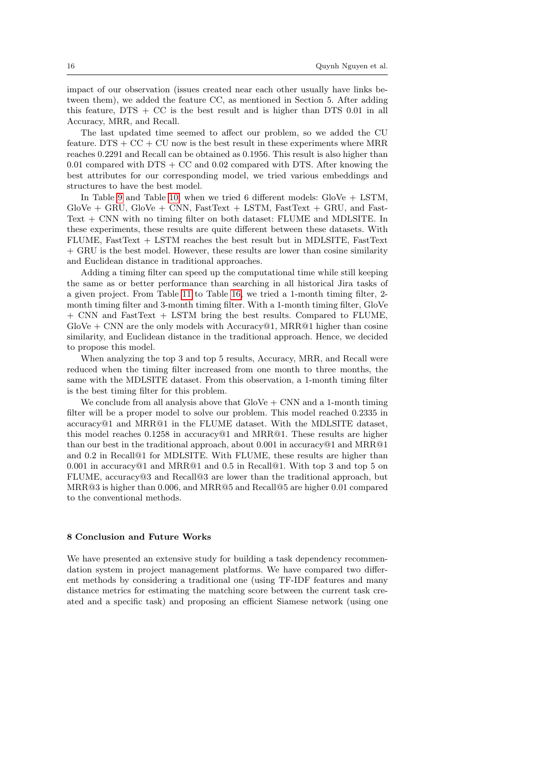impact of our observation (issues created near each other usually have links between them), we added the feature CC, as mentioned in Section 5. After adding this feature, DTS + CC is the best result and is higher than DTS 0.01 in all Accuracy, MRR, and Recall.

The last updated time seemed to affect our problem, so we added the CU feature. DTS  $+$  CC  $+$  CU now is the best result in these experiments where MRR reaches 0.2291 and Recall can be obtained as 0.1956. This result is also higher than 0.01 compared with  $DTS + CC$  and 0.02 compared with DTS. After knowing the best attributes for our corresponding model, we tried various embeddings and structures to have the best model.

In Table [9](#page-19-1) and Table [10,](#page-19-2) when we tried 6 different models: GloVe + LSTM,  $GloVe + GRU$ ,  $GloVe + CNN$ ,  $FastText + LSTM$ ,  $FastText + GRU$ , and  $Fast$ Text + CNN with no timing filter on both dataset: FLUME and MDLSITE. In these experiments, these results are quite different between these datasets. With FLUME, FastText + LSTM reaches the best result but in MDLSITE, FastText + GRU is the best model. However, these results are lower than cosine similarity and Euclidean distance in traditional approaches.

Adding a timing filter can speed up the computational time while still keeping the same as or better performance than searching in all historical Jira tasks of a given project. From Table [11](#page-20-0) to Table [16,](#page-22-1) we tried a 1-month timing filter, 2 month timing filter and 3-month timing filter. With a 1-month timing filter, GloVe + CNN and FastText + LSTM bring the best results. Compared to FLUME, GloVe  $+$  CNN are the only models with Accuracy  $@1$ , MRR $@1$  higher than cosine similarity, and Euclidean distance in the traditional approach. Hence, we decided to propose this model.

When analyzing the top 3 and top 5 results, Accuracy, MRR, and Recall were reduced when the timing filter increased from one month to three months, the same with the MDLSITE dataset. From this observation, a 1-month timing filter is the best timing filter for this problem.

We conclude from all analysis above that  $GloVe + CNN$  and a 1-month timing filter will be a proper model to solve our problem. This model reached 0.2335 in accuracy@1 and MRR@1 in the FLUME dataset. With the MDLSITE dataset, this model reaches 0.1258 in accuracy@1 and MRR@1. These results are higher than our best in the traditional approach, about 0.001 in accuracy@1 and MRR@1 and 0.2 in Recall@1 for MDLSITE. With FLUME, these results are higher than 0.001 in accuracy $@1$  and MRR $@1$  and 0.5 in Recall $@1$ . With top 3 and top 5 on FLUME, accuracy@3 and Recall@3 are lower than the traditional approach, but MRR@3 is higher than 0.006, and MRR@5 and Recall@5 are higher 0.01 compared to the conventional methods.

## 8 Conclusion and Future Works

We have presented an extensive study for building a task dependency recommendation system in project management platforms. We have compared two different methods by considering a traditional one (using TF-IDF features and many distance metrics for estimating the matching score between the current task created and a specific task) and proposing an efficient Siamese network (using one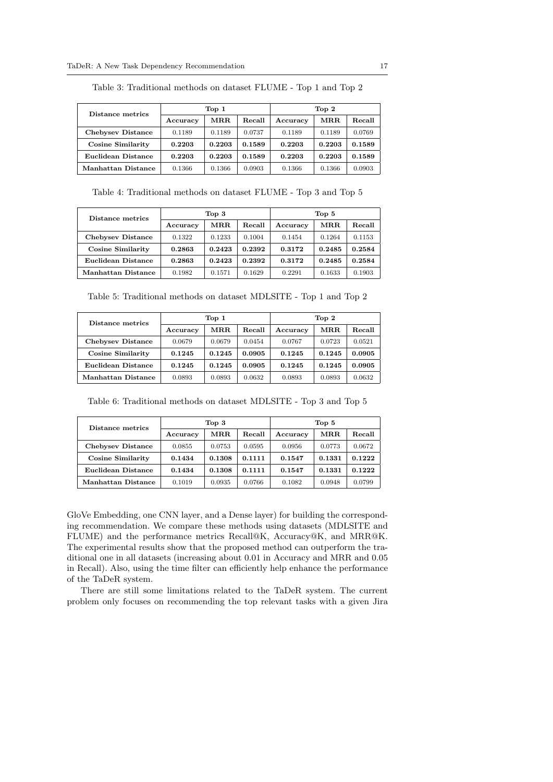| Distance metrics   | Top 1    |        |        | Top 2    |        |        |
|--------------------|----------|--------|--------|----------|--------|--------|
|                    | Accuracy | MRR    | Recall | Accuracy | MRR.   | Recall |
| Chebysey Distance  | 0.1189   | 0.1189 | 0.0737 | 0.1189   | 0.1189 | 0.0769 |
| Cosine Similarity  | 0.2203   | 0.2203 | 0.1589 | 0.2203   | 0.2203 | 0.1589 |
| Euclidean Distance | 0.2203   | 0.2203 | 0.1589 | 0.2203   | 0.2203 | 0.1589 |
| Manhattan Distance | 0.1366   | 0.1366 | 0.0903 | 0.1366   | 0.1366 | 0.0903 |

<span id="page-16-0"></span>Table 3: Traditional methods on dataset FLUME - Top 1 and Top 2

Table 4: Traditional methods on dataset FLUME - Top 3 and Top 5

<span id="page-16-1"></span>

| Distance metrics   | Top <sub>3</sub> |        |        | Top 5    |        |        |
|--------------------|------------------|--------|--------|----------|--------|--------|
|                    | Accuracy         | MRR.   | Recall | Accuracy | MR.R.  | Recall |
| Chebysey Distance  | 0.1322           | 0.1233 | 0.1004 | 0.1454   | 0.1264 | 0.1153 |
| Cosine Similarity  | 0.2863           | 0.2423 | 0.2392 | 0.3172   | 0.2485 | 0.2584 |
| Euclidean Distance | 0.2863           | 0.2423 | 0.2392 | 0.3172   | 0.2485 | 0.2584 |
| Manhattan Distance | 0.1982           | 0.1571 | 0.1629 | 0.2291   | 0.1633 | 0.1903 |

<span id="page-16-2"></span>Table 5: Traditional methods on dataset MDLSITE - Top 1 and Top 2

| Distance metrics   | Top 1    |        |        | Top 2    |        |        |
|--------------------|----------|--------|--------|----------|--------|--------|
|                    | Accuracy | MRR.   | Recall | Accuracy | MRR.   | Recall |
| Chebysey Distance  | 0.0679   | 0.0679 | 0.0454 | 0.0767   | 0.0723 | 0.0521 |
| Cosine Similarity  | 0.1245   | 0.1245 | 0.0905 | 0.1245   | 0.1245 | 0.0905 |
| Euclidean Distance | 0.1245   | 0.1245 | 0.0905 | 0.1245   | 0.1245 | 0.0905 |
| Manhattan Distance | 0.0893   | 0.0893 | 0.0632 | 0.0893   | 0.0893 | 0.0632 |

<span id="page-16-3"></span>Table 6: Traditional methods on dataset MDLSITE - Top 3 and Top 5

| Distance metrics   | Top 3    |        |        | Top 5    |        |        |
|--------------------|----------|--------|--------|----------|--------|--------|
|                    | Accuracy | MRR    | Recall | Accuracy | MRR.   | Recall |
| Chebysev Distance  | 0.0855   | 0.0753 | 0.0595 | 0.0956   | 0.0773 | 0.0672 |
| Cosine Similarity  | 0.1434   | 0.1308 | 0.1111 | 0.1547   | 0.1331 | 0.1222 |
| Euclidean Distance | 0.1434   | 0.1308 | 0.1111 | 0.1547   | 0.1331 | 0.1222 |
| Manhattan Distance | 0.1019   | 0.0935 | 0.0766 | 0.1082   | 0.0948 | 0.0799 |

GloVe Embedding, one CNN layer, and a Dense layer) for building the corresponding recommendation. We compare these methods using datasets (MDLSITE and FLUME) and the performance metrics Recall@K, Accuracy@K, and MRR@K. The experimental results show that the proposed method can outperform the traditional one in all datasets (increasing about 0.01 in Accuracy and MRR and 0.05 in Recall). Also, using the time filter can efficiently help enhance the performance of the TaDeR system.

There are still some limitations related to the TaDeR system. The current problem only focuses on recommending the top relevant tasks with a given Jira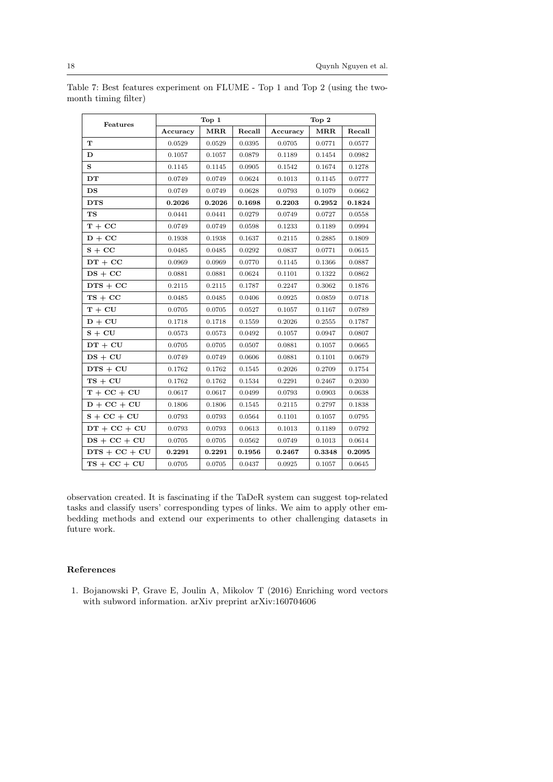| Features        |          | Top 1                |        |          | Top 2  |        |
|-----------------|----------|----------------------|--------|----------|--------|--------|
|                 | Accuracy | $\operatorname{MRR}$ | Recall | Accuracy | MRR    | Recall |
| T               | 0.0529   | 0.0529               | 0.0395 | 0.0705   | 0.0771 | 0.0577 |
| D               | 0.1057   | 0.1057               | 0.0879 | 0.1189   | 0.1454 | 0.0982 |
| S               | 0.1145   | 0.1145               | 0.0905 | 0.1542   | 0.1674 | 0.1278 |
| DT              | 0.0749   | 0.0749               | 0.0624 | 0.1013   | 0.1145 | 0.0777 |
| DS              | 0.0749   | 0.0749               | 0.0628 | 0.0793   | 0.1079 | 0.0662 |
| <b>DTS</b>      | 0.2026   | 0.2026               | 0.1698 | 0.2203   | 0.2952 | 0.1824 |
| $_{\rm TS}$     | 0.0441   | 0.0441               | 0.0279 | 0.0749   | 0.0727 | 0.0558 |
| $T + CC$        | 0.0749   | 0.0749               | 0.0598 | 0.1233   | 0.1189 | 0.0994 |
| $D + CC$        | 0.1938   | 0.1938               | 0.1637 | 0.2115   | 0.2885 | 0.1809 |
| $S + CC$        | 0.0485   | 0.0485               | 0.0292 | 0.0837   | 0.0771 | 0.0615 |
| $DT + CC$       | 0.0969   | 0.0969               | 0.0770 | 0.1145   | 0.1366 | 0.0887 |
| $DS + CC$       | 0.0881   | 0.0881               | 0.0624 | 0.1101   | 0.1322 | 0.0862 |
| $DTS + CC$      | 0.2115   | $0.2115\,$           | 0.1787 | 0.2247   | 0.3062 | 0.1876 |
| $TS + CC$       | 0.0485   | 0.0485               | 0.0406 | 0.0925   | 0.0859 | 0.0718 |
| $T + CU$        | 0.0705   | 0.0705               | 0.0527 | 0.1057   | 0.1167 | 0.0789 |
| $D + CU$        | 0.1718   | 0.1718               | 0.1559 | 0.2026   | 0.2555 | 0.1787 |
| $S + CU$        | 0.0573   | 0.0573               | 0.0492 | 0.1057   | 0.0947 | 0.0807 |
| $DT + CU$       | 0.0705   | 0.0705               | 0.0507 | 0.0881   | 0.1057 | 0.0665 |
| $DS + CU$       | 0.0749   | 0.0749               | 0.0606 | 0.0881   | 0.1101 | 0.0679 |
| $DTS + CU$      | 0.1762   | 0.1762               | 0.1545 | 0.2026   | 0.2709 | 0.1754 |
| $TS + CU$       | 0.1762   | 0.1762               | 0.1534 | 0.2291   | 0.2467 | 0.2030 |
| $T + CC + CU$   | 0.0617   | 0.0617               | 0.0499 | 0.0793   | 0.0903 | 0.0638 |
| $D + CC + CU$   | 0.1806   | 0.1806               | 0.1545 | 0.2115   | 0.2797 | 0.1838 |
| $S + CC + CU$   | 0.0793   | 0.0793               | 0.0564 | 0.1101   | 0.1057 | 0.0795 |
| $DT + CC + CU$  | 0.0793   | 0.0793               | 0.0613 | 0.1013   | 0.1189 | 0.0792 |
| $DS + CC + CU$  | 0.0705   | 0.0705               | 0.0562 | 0.0749   | 0.1013 | 0.0614 |
| $DTS + CC + CU$ | 0.2291   | 0.2291               | 0.1956 | 0.2467   | 0.3348 | 0.2095 |
| $TS + CC + CU$  | 0.0705   | 0.0705               | 0.0437 | 0.0925   | 0.1057 | 0.0645 |

<span id="page-17-1"></span>Table 7: Best features experiment on FLUME - Top 1 and Top 2 (using the twomonth timing filter)

observation created. It is fascinating if the TaDeR system can suggest top-related tasks and classify users' corresponding types of links. We aim to apply other embedding methods and extend our experiments to other challenging datasets in future work.

# References

<span id="page-17-0"></span>1. Bojanowski P, Grave E, Joulin A, Mikolov T (2016) Enriching word vectors with subword information. arXiv preprint arXiv:160704606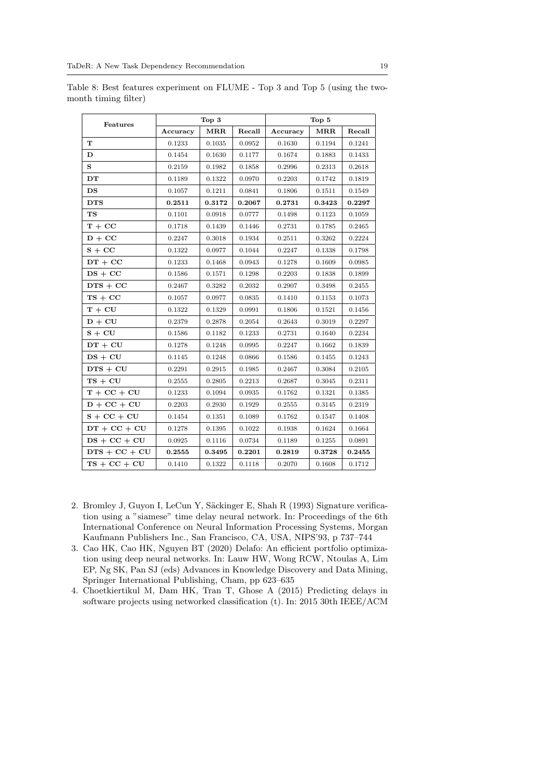|                 |            | Top 3  |        |            | Top 5        |        |
|-----------------|------------|--------|--------|------------|--------------|--------|
| Features        | Accuracy   | MRR    | Recall | Accuracy   | MRR          | Recall |
| T               | 0.1233     | 0.1035 | 0.0952 | 0.1630     | 0.1194       | 0.1241 |
| D               | 0.1454     | 0.1630 | 0.1177 | 0.1674     | 0.1883       | 0.1433 |
| $\mathbf{s}$    | 0.2159     | 0.1982 | 0.1858 | 0.2996     | 0.2313       | 0.2618 |
| DT              | 0.1189     | 0.1322 | 0.0970 | 0.2203     | 0.1742       | 0.1819 |
| DS              | 0.1057     | 0.1211 | 0.0841 | 0.1806     | 0.1511       | 0.1549 |
| <b>DTS</b>      | 0.2511     | 0.3172 | 0.2067 | 0.2731     | 0.3423       | 0.2297 |
| <b>TS</b>       | $0.1101\,$ | 0.0918 | 0.0777 | 0.1498     | 0.1123       | 0.1059 |
| $T + CC$        | 0.1718     | 0.1439 | 0.1446 | 0.2731     | 0.1785       | 0.2465 |
| $D + CC$        | 0.2247     | 0.3018 | 0.1934 | $0.2511\,$ | $\,0.3262\,$ | 0.2224 |
| $S + CC$        | 0.1322     | 0.0977 | 0.1044 | 0.2247     | 0.1338       | 0.1798 |
| $DT + CC$       | 0.1233     | 0.1468 | 0.0943 | 0.1278     | 0.1609       | 0.0985 |
| $DS + CC$       | 0.1586     | 0.1571 | 0.1298 | 0.2203     | 0.1838       | 0.1899 |
| $DTS + CC$      | 0.2467     | 0.3282 | 0.2032 | 0.2907     | 0.3498       | 0.2455 |
| $TS + CC$       | 0.1057     | 0.0977 | 0.0835 | 0.1410     | 0.1153       | 0.1073 |
| $T + CU$        | 0.1322     | 0.1329 | 0.0991 | 0.1806     | 0.1521       | 0.1456 |
| $D + CU$        | 0.2379     | 0.2878 | 0.2054 | 0.2643     | 0.3019       | 0.2297 |
| $S + CU$        | 0.1586     | 0.1182 | 0.1233 | 0.2731     | 0.1640       | 0.2234 |
| $DT + CU$       | 0.1278     | 0.1248 | 0.0995 | 0.2247     | 0.1662       | 0.1839 |
| $DS + CU$       | 0.1145     | 0.1248 | 0.0866 | 0.1586     | 0.1455       | 0.1243 |
| $DTS + CU$      | 0.2291     | 0.2915 | 0.1985 | 0.2467     | 0.3084       | 0.2105 |
| $TS + CU$       | 0.2555     | 0.2805 | 0.2213 | 0.2687     | $\,0.3045\,$ | 0.2311 |
| $T + CC + CU$   | 0.1233     | 0.1094 | 0.0935 | 0.1762     | 0.1321       | 0.1385 |
| $D + CC + CU$   | 0.2203     | 0.2930 | 0.1929 | 0.2555     | 0.3145       | 0.2319 |
| $S + CC + CU$   | 0.1454     | 0.1351 | 0.1089 | 0.1762     | 0.1547       | 0.1408 |
| $DT + CC + CU$  | 0.1278     | 0.1395 | 0.1022 | 0.1938     | 0.1624       | 0.1664 |
| $DS + CC + CU$  | 0.0925     | 0.1116 | 0.0734 | 0.1189     | 0.1255       | 0.0891 |
| $DTS + CC + CU$ | 0.2555     | 0.3495 | 0.2201 | 0.2819     | 0.3728       | 0.2455 |
| $TS + CC + CU$  | 0.1410     | 0.1322 | 0.1118 | 0.2070     | 0.1608       | 0.1712 |

<span id="page-18-2"></span>Table 8: Best features experiment on FLUME - Top 3 and Top 5 (using the twomonth timing filter)

- <span id="page-18-0"></span>2. Bromley J, Guyon I, LeCun Y, Säckinger E, Shah R (1993) Signature verification using a "siamese" time delay neural network. In: Proceedings of the 6th International Conference on Neural Information Processing Systems, Morgan Kaufmann Publishers Inc., San Francisco, CA, USA, NIPS'93, p 737–744
- 3. Cao HK, Cao HK, Nguyen BT (2020) Delafo: An efficient portfolio optimization using deep neural networks. In: Lauw HW, Wong RCW, Ntoulas A, Lim EP, Ng SK, Pan SJ (eds) Advances in Knowledge Discovery and Data Mining, Springer International Publishing, Cham, pp 623–635
- <span id="page-18-1"></span>4. Choetkiertikul M, Dam HK, Tran T, Ghose A (2015) Predicting delays in software projects using networked classification (t). In: 2015 30th IEEE/ACM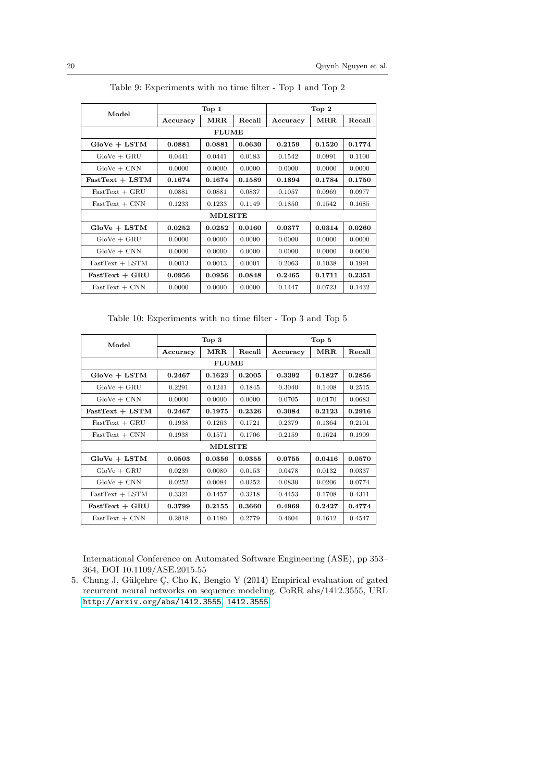<span id="page-19-1"></span>

|                   |          | Top 1          |        |          | Top <sub>2</sub> |        |
|-------------------|----------|----------------|--------|----------|------------------|--------|
| Model             | Accuracy | MRR            | Recall | Accuracy | MRR              | Recall |
|                   |          | <b>FLUME</b>   |        |          |                  |        |
| $GloVe + LSTM$    | 0.0881   | 0.0881         | 0.0630 | 0.2159   | 0.1520           | 0.1774 |
| $GloVe + GRU$     | 0.0441   | 0.0441         | 0.0183 | 0.1542   | 0.0991           | 0.1100 |
| $GloVe + CNN$     | 0.0000   | 0.0000         | 0.0000 | 0.0000   | 0.0000           | 0.0000 |
| $FastText + LSTM$ | 0.1674   | 0.1674         | 0.1589 | 0.1894   | 0.1784           | 0.1750 |
| $FastText + GRU$  | 0.0881   | 0.0881         | 0.0837 | 0.1057   | 0.0969           | 0.0977 |
| $FastText + CNN$  | 0.1233   | 0.1233         | 0.1149 | 0.1850   | 0.1542           | 0.1685 |
|                   |          | <b>MDLSITE</b> |        |          |                  |        |
| $GloVe + LSTM$    | 0.0252   | 0.0252         | 0.0160 | 0.0377   | 0.0314           | 0.0260 |
| $GloVe + GRU$     | 0.0000   | 0.0000         | 0.0000 | 0.0000   | 0.0000           | 0.0000 |
| $GloVe + CNN$     | 0.0000   | 0.0000         | 0.0000 | 0.0000   | 0.0000           | 0.0000 |
| $FastText + LSTM$ | 0.0013   | 0.0013         | 0.0001 | 0.2063   | 0.1038           | 0.1991 |
| $FastText + GRU$  | 0.0956   | 0.0956         | 0.0848 | 0.2465   | 0.1711           | 0.2351 |
| $FastText + CNN$  | 0.0000   | 0.0000         | 0.0000 | 0.1447   | 0.0723           | 0.1432 |

Table 9: Experiments with no time filter - Top 1 and Top 2

Table 10: Experiments with no time filter - Top 3 and Top 5

<span id="page-19-2"></span>

| Model             |          | Top <sub>3</sub>     |        |          | Top 5                |        |  |  |
|-------------------|----------|----------------------|--------|----------|----------------------|--------|--|--|
|                   | Accuracy | $\operatorname{MRR}$ | Recall | Accuracy | $\operatorname{MRR}$ | Recall |  |  |
|                   |          | <b>FLUME</b>         |        |          |                      |        |  |  |
| $GloVe + LSTM$    | 0.2467   | 0.1623               | 0.2005 | 0.3392   | 0.1827               | 0.2856 |  |  |
| $GloVe + GRU$     | 0.2291   | 0.1241               | 0.1845 | 0.3040   | 0.1408               | 0.2515 |  |  |
| $GloVe + CNN$     | 0.0000   | 0.0000               | 0.0000 | 0.0705   | 0.0170               | 0.0683 |  |  |
| $FastText + LSTM$ | 0.2467   | 0.1975               | 0.2326 | 0.3084   | 0.2123               | 0.2916 |  |  |
| $FastText + GRU$  | 0.1938   | 0.1263               | 0.1721 | 0.2379   | 0.1364               | 0.2101 |  |  |
| $FastText + CNN$  | 0.1938   | 0.1571               | 0.1706 | 0.2159   | 0.1624               | 0.1909 |  |  |
|                   |          | <b>MDLSITE</b>       |        |          |                      |        |  |  |
| $GloVe + LSTM$    | 0.0503   | 0.0356               | 0.0355 | 0.0755   | 0.0416               | 0.0570 |  |  |
| $GloVe + GRU$     | 0.0239   | 0.0080               | 0.0153 | 0.0478   | 0.0132               | 0.0337 |  |  |
| $GloVe + CNN$     | 0.0252   | 0.0084               | 0.0252 | 0.0830   | 0.0206               | 0.0774 |  |  |
| $FastText + LSTM$ | 0.3321   | 0.1457               | 0.3218 | 0.4453   | 0.1708               | 0.4311 |  |  |
| $FastText + GRU$  | 0.3799   | 0.2155               | 0.3660 | 0.4969   | 0.2427               | 0.4774 |  |  |
| $FastText + CNN$  | 0.2818   | 0.1180               | 0.2779 | 0.4604   | 0.1612               | 0.4547 |  |  |

International Conference on Automated Software Engineering (ASE), pp 353– 364, DOI 10.1109/ASE.2015.55

<span id="page-19-0"></span>5. Chung J, Gülçehre C, Cho K, Bengio Y (2014) Empirical evaluation of gated recurrent neural networks on sequence modeling. CoRR abs/1412.3555, URL <http://arxiv.org/abs/1412.3555>, <1412.3555>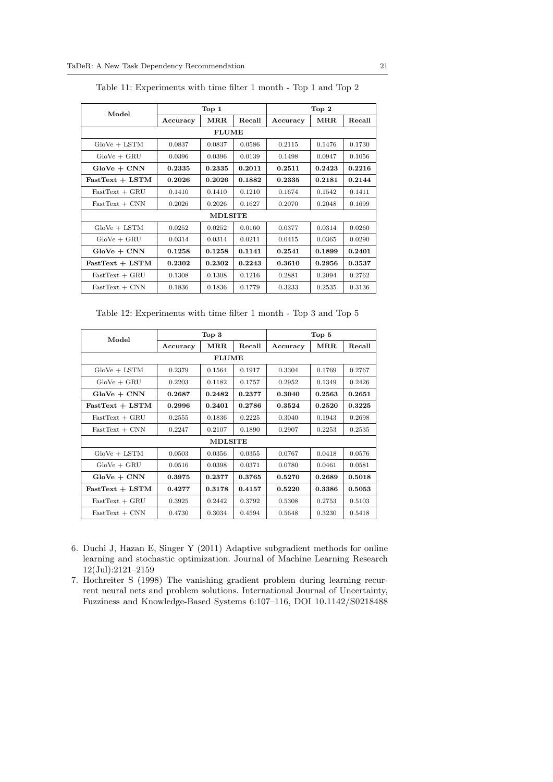<span id="page-20-0"></span>

| Model             |          | Top <sub>1</sub> |        |          | Top 2  |        |
|-------------------|----------|------------------|--------|----------|--------|--------|
|                   | Accuracy | MRR.             | Recall | Accuracy | MRR    | Recall |
|                   |          | <b>FLUME</b>     |        |          |        |        |
| $GloVe + LSTM$    | 0.0837   | 0.0837           | 0.0586 | 0.2115   | 0.1476 | 0.1730 |
| $GloVe + GRU$     | 0.0396   | 0.0396           | 0.0139 | 0.1498   | 0.0947 | 0.1056 |
| $GloVe + CNN$     | 0.2335   | 0.2335           | 0.2011 | 0.2511   | 0.2423 | 0.2216 |
| $FastText + LSTM$ | 0.2026   | 0.2026           | 0.1882 | 0.2335   | 0.2181 | 0.2144 |
| $FastText + GRU$  | 0.1410   | 0.1410           | 0.1210 | 0.1674   | 0.1542 | 0.1411 |
| $FastText + CNN$  | 0.2026   | 0.2026           | 0.1627 | 0.2070   | 0.2048 | 0.1699 |
|                   |          | <b>MDLSITE</b>   |        |          |        |        |
| $GloVe + LSTM$    | 0.0252   | 0.0252           | 0.0160 | 0.0377   | 0.0314 | 0.0260 |
| $GloVe + GRU$     | 0.0314   | 0.0314           | 0.0211 | 0.0415   | 0.0365 | 0.0290 |
| $GloVe + CNN$     | 0.1258   | 0.1258           | 0.1141 | 0.2541   | 0.1899 | 0.2401 |
| $FastText + LSTM$ | 0.2302   | 0.2302           | 0.2243 | 0.3610   | 0.2956 | 0.3537 |
| $FastText + GRU$  | 0.1308   | 0.1308           | 0.1216 | 0.2881   | 0.2094 | 0.2762 |
| $FastText + CNN$  | 0.1836   | 0.1836           | 0.1779 | 0.3233   | 0.2535 | 0.3136 |

Table 11: Experiments with time filter 1 month - Top 1 and Top 2

Table 12: Experiments with time filter 1 month - Top 3 and Top 5

| Model             |              | Top <sub>3</sub> |        |          | Top 5                |        |  |  |  |
|-------------------|--------------|------------------|--------|----------|----------------------|--------|--|--|--|
|                   | Accuracy     | $\rm{MRR}$       | Recall | Accuracy | $\operatorname{MRR}$ | Recall |  |  |  |
|                   | <b>FLUME</b> |                  |        |          |                      |        |  |  |  |
| $GloVe + LSTM$    | 0.2379       | 0.1564           | 0.1917 | 0.3304   | 0.1769               | 0.2767 |  |  |  |
| $GloVe + GRU$     | 0.2203       | 0.1182           | 0.1757 | 0.2952   | 0.1349               | 0.2426 |  |  |  |
| $GloVe + CNN$     | 0.2687       | 0.2482           | 0.2377 | 0.3040   | 0.2563               | 0.2651 |  |  |  |
| $FastText + LSTM$ | 0.2996       | 0.2401           | 0.2786 | 0.3524   | 0.2520               | 0.3225 |  |  |  |
| $FastText + GRU$  | 0.2555       | 0.1836           | 0.2225 | 0.3040   | 0.1943               | 0.2698 |  |  |  |
| $FastText + CNN$  | 0.2247       | 0.2107           | 0.1890 | 0.2907   | 0.2253               | 0.2535 |  |  |  |
|                   |              | <b>MDLSITE</b>   |        |          |                      |        |  |  |  |
| $GloVe + LSTM$    | 0.0503       | 0.0356           | 0.0355 | 0.0767   | 0.0418               | 0.0576 |  |  |  |
| $GloVe + GRU$     | 0.0516       | 0.0398           | 0.0371 | 0.0780   | 0.0461               | 0.0581 |  |  |  |
| $GloVe + CNN$     | 0.3975       | 0.2377           | 0.3765 | 0.5270   | 0.2689               | 0.5018 |  |  |  |
| $FastText + LSTM$ | 0.4277       | 0.3178           | 0.4157 | 0.5220   | 0.3386               | 0.5053 |  |  |  |
| $FastText + GRU$  | 0.3925       | 0.2442           | 0.3792 | 0.5308   | 0.2753               | 0.5103 |  |  |  |
| $FastText + CNN$  | 0.4730       | 0.3034           | 0.4594 | 0.5648   | 0.3230               | 0.5418 |  |  |  |

- 6. Duchi J, Hazan E, Singer Y (2011) Adaptive subgradient methods for online learning and stochastic optimization. Journal of Machine Learning Research 12(Jul):2121–2159
- 7. Hochreiter S (1998) The vanishing gradient problem during learning recurrent neural nets and problem solutions. International Journal of Uncertainty, Fuzziness and Knowledge-Based Systems 6:107–116, DOI 10.1142/S0218488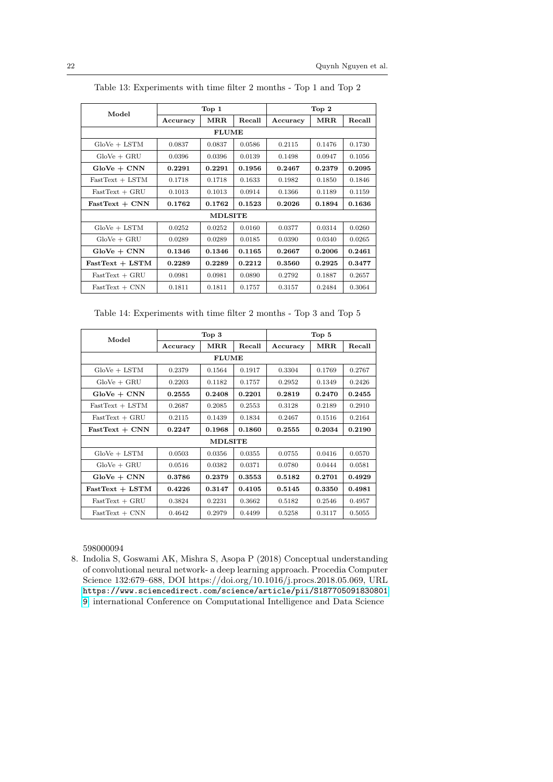| Model             | Top 1        |        |        | Top 2    |        |        |
|-------------------|--------------|--------|--------|----------|--------|--------|
|                   | Accuracy     | MRR    | Recall | Accuracy | MRR    | Recall |
|                   | <b>FLUME</b> |        |        |          |        |        |
| $GloVe + LSTM$    | 0.0837       | 0.0837 | 0.0586 | 0.2115   | 0.1476 | 0.1730 |
| $GloVe + GRU$     | 0.0396       | 0.0396 | 0.0139 | 0.1498   | 0.0947 | 0.1056 |
| $GloVe + CNN$     | 0.2291       | 0.2291 | 0.1956 | 0.2467   | 0.2379 | 0.2095 |
| $FastText + LSTM$ | 0.1718       | 0.1718 | 0.1633 | 0.1982   | 0.1850 | 0.1846 |
| $FastText + GRU$  | 0.1013       | 0.1013 | 0.0914 | 0.1366   | 0.1189 | 0.1159 |
| $FastText + CNN$  | 0.1762       | 0.1762 | 0.1523 | 0.2026   | 0.1894 | 0.1636 |
| <b>MDLSITE</b>    |              |        |        |          |        |        |
| $GloVe + LSTM$    | 0.0252       | 0.0252 | 0.0160 | 0.0377   | 0.0314 | 0.0260 |
| $GloVe + GRU$     | 0.0289       | 0.0289 | 0.0185 | 0.0390   | 0.0340 | 0.0265 |
| $GloVe + CNN$     | 0.1346       | 0.1346 | 0.1165 | 0.2667   | 0.2006 | 0.2461 |
| $FastText + LSTM$ | 0.2289       | 0.2289 | 0.2212 | 0.3560   | 0.2925 | 0.3477 |
| $FastText + GRU$  | 0.0981       | 0.0981 | 0.0890 | 0.2792   | 0.1887 | 0.2657 |
| $FastText + CNN$  | 0.1811       | 0.1811 | 0.1757 | 0.3157   | 0.2484 | 0.3064 |

Table 13: Experiments with time filter 2 months - Top 1 and Top 2

Table 14: Experiments with time filter 2 months - Top 3 and Top 5

| Model             | Top <sub>3</sub> |                |        | Top 5    |                      |        |
|-------------------|------------------|----------------|--------|----------|----------------------|--------|
|                   | Accuracy         | $\rm{MRR}$     | Recall | Accuracy | $\operatorname{MRR}$ | Recall |
|                   |                  | <b>FLUME</b>   |        |          |                      |        |
| $GloVe + LSTM$    | 0.2379           | 0.1564         | 0.1917 | 0.3304   | 0.1769               | 0.2767 |
| $GloVe + GRU$     | 0.2203           | 0.1182         | 0.1757 | 0.2952   | 0.1349               | 0.2426 |
| $GloVe + CNN$     | 0.2555           | 0.2408         | 0.2201 | 0.2819   | 0.2470               | 0.2455 |
| $FastText + LSTM$ | 0.2687           | 0.2085         | 0.2553 | 0.3128   | 0.2189               | 0.2910 |
| $FastText + GRU$  | 0.2115           | 0.1439         | 0.1834 | 0.2467   | 0.1516               | 0.2164 |
| $FastText + CNN$  | 0.2247           | 0.1968         | 0.1860 | 0.2555   | 0.2034               | 0.2190 |
|                   |                  | <b>MDLSITE</b> |        |          |                      |        |
| $GloVe + LSTM$    | 0.0503           | 0.0356         | 0.0355 | 0.0755   | 0.0416               | 0.0570 |
| $GloVe + GRU$     | 0.0516           | 0.0382         | 0.0371 | 0.0780   | 0.0444               | 0.0581 |
| $GloVe + CNN$     | 0.3786           | 0.2379         | 0.3553 | 0.5182   | 0.2701               | 0.4929 |
| $FastText + LSTM$ | 0.4226           | 0.3147         | 0.4105 | 0.5145   | 0.3350               | 0.4981 |
| $FastText + GRU$  | 0.3824           | 0.2231         | 0.3662 | 0.5182   | 0.2546               | 0.4957 |
| $FastText + CNN$  | 0.4642           | 0.2979         | 0.4499 | 0.5258   | 0.3117               | 0.5055 |

598000094

8. Indolia S, Goswami AK, Mishra S, Asopa P (2018) Conceptual understanding of convolutional neural network- a deep learning approach. Procedia Computer Science 132:679–688, DOI https://doi.org/10.1016/j.procs.2018.05.069, URL [https://www.sciencedirect.com/science/article/pii/S187705091830801](https://www.sciencedirect.com/science/article/pii/S1877050918308019) [9](https://www.sciencedirect.com/science/article/pii/S1877050918308019), international Conference on Computational Intelligence and Data Science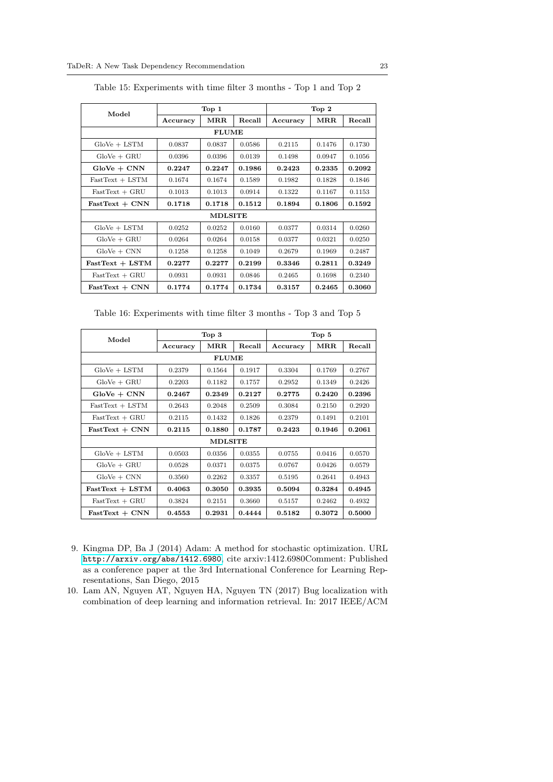| Model             | Top <sub>1</sub> |              |        | Top 2    |                      |        |
|-------------------|------------------|--------------|--------|----------|----------------------|--------|
|                   | Accuracy         | MRR.         | Recall | Accuracy | $\operatorname{MRR}$ | Recall |
|                   |                  | <b>FLUME</b> |        |          |                      |        |
| $GloVe + LSTM$    | 0.0837           | 0.0837       | 0.0586 | 0.2115   | 0.1476               | 0.1730 |
| $GloVe + GRU$     | 0.0396           | 0.0396       | 0.0139 | 0.1498   | 0.0947               | 0.1056 |
| $GloVe + CNN$     | 0.2247           | 0.2247       | 0.1986 | 0.2423   | 0.2335               | 0.2092 |
| $FastText + LSTM$ | 0.1674           | 0.1674       | 0.1589 | 0.1982   | 0.1828               | 0.1846 |
| $FastText + GRU$  | 0.1013           | 0.1013       | 0.0914 | 0.1322   | 0.1167               | 0.1153 |
| $FastText + CNN$  | 0.1718           | 0.1718       | 0.1512 | 0.1894   | 0.1806               | 0.1592 |
| <b>MDLSITE</b>    |                  |              |        |          |                      |        |
| $GloVe + LSTM$    | 0.0252           | 0.0252       | 0.0160 | 0.0377   | 0.0314               | 0.0260 |
| $GloVe + GRU$     | 0.0264           | 0.0264       | 0.0158 | 0.0377   | 0.0321               | 0.0250 |
| $GloVe + CNN$     | 0.1258           | 0.1258       | 0.1049 | 0.2679   | 0.1969               | 0.2487 |
| $FastText + LSTM$ | 0.2277           | 0.2277       | 0.2199 | 0.3346   | 0.2811               | 0.3249 |
| $FastText + GRU$  | 0.0931           | 0.0931       | 0.0846 | 0.2465   | 0.1698               | 0.2340 |
| $FastText + CNN$  | 0.1774           | 0.1774       | 0.1734 | 0.3157   | 0.2465               | 0.3060 |

Table 15: Experiments with time filter 3 months - Top 1 and Top 2

Table 16: Experiments with time filter 3 months - Top 3 and Top 5

<span id="page-22-1"></span>

| Model             |              | Top <sub>3</sub> |        | Top 5    |                      |        |
|-------------------|--------------|------------------|--------|----------|----------------------|--------|
|                   | Accuracy     | $\rm{MRR}$       | Recall | Accuracy | $\operatorname{MRR}$ | Recall |
|                   | <b>FLUME</b> |                  |        |          |                      |        |
| $GloVe + LSTM$    | 0.2379       | 0.1564           | 0.1917 | 0.3304   | 0.1769               | 0.2767 |
| $GloVe + GRU$     | 0.2203       | 0.1182           | 0.1757 | 0.2952   | 0.1349               | 0.2426 |
| $GloVe + CNN$     | 0.2467       | 0.2349           | 0.2127 | 0.2775   | 0.2420               | 0.2396 |
| $FastText + LSTM$ | 0.2643       | 0.2048           | 0.2509 | 0.3084   | 0.2150               | 0.2920 |
| $FastText + GRU$  | 0.2115       | 0.1432           | 0.1826 | 0.2379   | 0.1491               | 0.2101 |
| $FastText + CNN$  | 0.2115       | 0.1880           | 0.1787 | 0.2423   | 0.1946               | 0.2061 |
| <b>MDLSITE</b>    |              |                  |        |          |                      |        |
| $GloVe + LSTM$    | 0.0503       | 0.0356           | 0.0355 | 0.0755   | 0.0416               | 0.0570 |
| $GloVe + GRU$     | 0.0528       | 0.0371           | 0.0375 | 0.0767   | 0.0426               | 0.0579 |
| $GloVe + CNN$     | 0.3560       | 0.2262           | 0.3357 | 0.5195   | 0.2641               | 0.4943 |
| $FastText + LSTM$ | 0.4063       | 0.3050           | 0.3935 | 0.5094   | 0.3284               | 0.4945 |
| $FastText + GRU$  | 0.3824       | 0.2151           | 0.3660 | 0.5157   | 0.2462               | 0.4932 |
| $FastText + CNN$  | 0.4553       | 0.2931           | 0.4444 | 0.5182   | 0.3072               | 0.5000 |

- 9. Kingma DP, Ba J (2014) Adam: A method for stochastic optimization. URL <http://arxiv.org/abs/1412.6980>, cite arxiv:1412.6980Comment: Published as a conference paper at the 3rd International Conference for Learning Representations, San Diego, 2015
- <span id="page-22-0"></span>10. Lam AN, Nguyen AT, Nguyen HA, Nguyen TN (2017) Bug localization with combination of deep learning and information retrieval. In: 2017 IEEE/ACM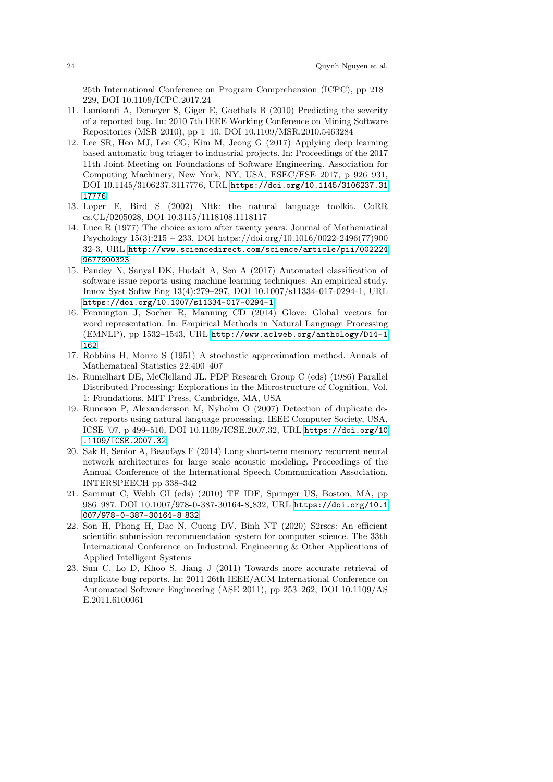25th International Conference on Program Comprehension (ICPC), pp 218– 229, DOI 10.1109/ICPC.2017.24

- <span id="page-23-1"></span>11. Lamkanfi A, Demeyer S, Giger E, Goethals B (2010) Predicting the severity of a reported bug. In: 2010 7th IEEE Working Conference on Mining Software Repositories (MSR 2010), pp 1–10, DOI 10.1109/MSR.2010.5463284
- <span id="page-23-0"></span>12. Lee SR, Heo MJ, Lee CG, Kim M, Jeong G (2017) Applying deep learning based automatic bug triager to industrial projects. In: Proceedings of the 2017 11th Joint Meeting on Foundations of Software Engineering, Association for Computing Machinery, New York, NY, USA, ESEC/FSE 2017, p 926–931, DOI 10.1145/3106237.3117776, URL [https://doi.org/10.1145/3106237.31](https://doi.org/10.1145/3106237.3117776) [17776](https://doi.org/10.1145/3106237.3117776)
- <span id="page-23-9"></span>13. Loper E, Bird S (2002) Nltk: the natural language toolkit. CoRR cs.CL/0205028, DOI 10.3115/1118108.1118117
- 14. Luce R (1977) The choice axiom after twenty years. Journal of Mathematical Psychology 15(3):215 – 233, DOI https://doi.org/10.1016/0022-2496(77)900 32-3, URL [http://www.sciencedirect.com/science/article/pii/002224](http://www.sciencedirect.com/science/article/pii/0022249677900323) [9677900323](http://www.sciencedirect.com/science/article/pii/0022249677900323)
- <span id="page-23-2"></span>15. Pandey N, Sanyal DK, Hudait A, Sen A (2017) Automated classification of software issue reports using machine learning techniques: An empirical study. Innov Syst Softw Eng 13(4):279–297, DOI 10.1007/s11334-017-0294-1, URL <https://doi.org/10.1007/s11334-017-0294-1>
- <span id="page-23-8"></span>16. Pennington J, Socher R, Manning CD (2014) Glove: Global vectors for word representation. In: Empirical Methods in Natural Language Processing (EMNLP), pp 1532–1543, URL [http://www.aclweb.org/anthology/D14-1](http://www.aclweb.org/anthology/D14-1162) [162](http://www.aclweb.org/anthology/D14-1162)
- 17. Robbins H, Monro S (1951) A stochastic approximation method. Annals of Mathematical Statistics 22:400–407
- <span id="page-23-6"></span>18. Rumelhart DE, McClelland JL, PDP Research Group C (eds) (1986) Parallel Distributed Processing: Explorations in the Microstructure of Cognition, Vol. 1: Foundations. MIT Press, Cambridge, MA, USA
- <span id="page-23-3"></span>19. Runeson P, Alexandersson M, Nyholm O (2007) Detection of duplicate defect reports using natural language processing. IEEE Computer Society, USA, ICSE '07, p 499–510, DOI 10.1109/ICSE.2007.32, URL [https://doi.org/10](https://doi.org/10.1109/ICSE.2007.32) [.1109/ICSE.2007.32](https://doi.org/10.1109/ICSE.2007.32)
- <span id="page-23-5"></span>20. Sak H, Senior A, Beaufays F (2014) Long short-term memory recurrent neural network architectures for large scale acoustic modeling. Proceedings of the Annual Conference of the International Speech Communication Association, INTERSPEECH pp 338–342
- <span id="page-23-7"></span>21. Sammut C, Webb GI (eds) (2010) TF–IDF, Springer US, Boston, MA, pp 986–987. DOI 10.1007/978-0-387-30164-8 832, URL [https://doi.org/10.1](https://doi.org/10.1007/978-0-387-30164-8_832) [007/978-0-387-30164-8](https://doi.org/10.1007/978-0-387-30164-8_832)\_832
- 22. Son H, Phong H, Dac N, Cuong DV, Binh NT (2020) S2rscs: An efficient scientific submission recommendation system for computer science. The 33th International Conference on Industrial, Engineering & Other Applications of Applied Intelligent Systems
- <span id="page-23-4"></span>23. Sun C, Lo D, Khoo S, Jiang J (2011) Towards more accurate retrieval of duplicate bug reports. In: 2011 26th IEEE/ACM International Conference on Automated Software Engineering (ASE 2011), pp 253–262, DOI 10.1109/AS E.2011.6100061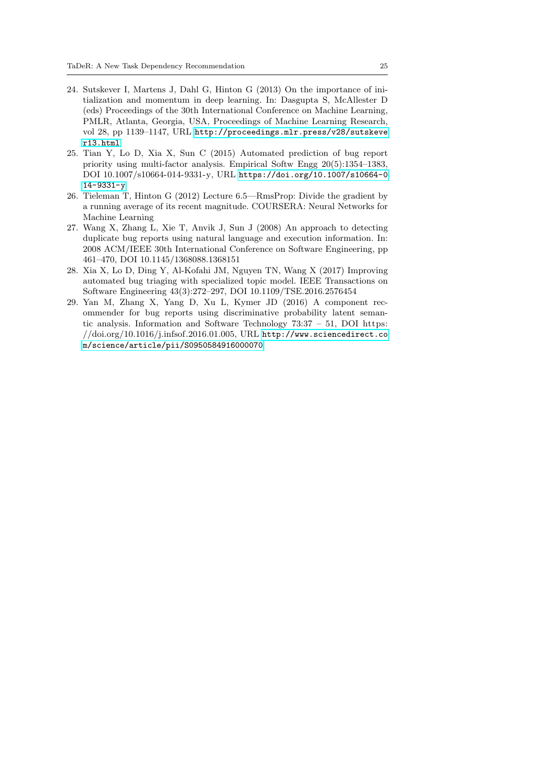- 24. Sutskever I, Martens J, Dahl G, Hinton G (2013) On the importance of initialization and momentum in deep learning. In: Dasgupta S, McAllester D (eds) Proceedings of the 30th International Conference on Machine Learning, PMLR, Atlanta, Georgia, USA, Proceedings of Machine Learning Research, vol 28, pp 1139–1147, URL [http://proceedings.mlr.press/v28/sutskeve](http://proceedings.mlr.press/v28/sutskever13.html) [r13.html](http://proceedings.mlr.press/v28/sutskever13.html)
- <span id="page-24-0"></span>25. Tian Y, Lo D, Xia X, Sun C (2015) Automated prediction of bug report priority using multi-factor analysis. Empirical Softw Engg 20(5):1354–1383, DOI 10.1007/s10664-014-9331-y, URL [https://doi.org/10.1007/s10664-0](https://doi.org/10.1007/s10664-014-9331-y) [14-9331-y](https://doi.org/10.1007/s10664-014-9331-y)
- 26. Tieleman T, Hinton G (2012) Lecture 6.5—RmsProp: Divide the gradient by a running average of its recent magnitude. COURSERA: Neural Networks for Machine Learning
- <span id="page-24-3"></span>27. Wang X, Zhang L, Xie T, Anvik J, Sun J (2008) An approach to detecting duplicate bug reports using natural language and execution information. In: 2008 ACM/IEEE 30th International Conference on Software Engineering, pp 461–470, DOI 10.1145/1368088.1368151
- <span id="page-24-1"></span>28. Xia X, Lo D, Ding Y, Al-Kofahi JM, Nguyen TN, Wang X (2017) Improving automated bug triaging with specialized topic model. IEEE Transactions on Software Engineering 43(3):272–297, DOI 10.1109/TSE.2016.2576454
- <span id="page-24-2"></span>29. Yan M, Zhang X, Yang D, Xu L, Kymer JD (2016) A component recommender for bug reports using discriminative probability latent semantic analysis. Information and Software Technology 73:37 – 51, DOI https: //doi.org/10.1016/j.infsof.2016.01.005, URL [http://www.sciencedirect.co](http://www.sciencedirect.com/science/article/pii/S0950584916000070) [m/science/article/pii/S0950584916000070](http://www.sciencedirect.com/science/article/pii/S0950584916000070)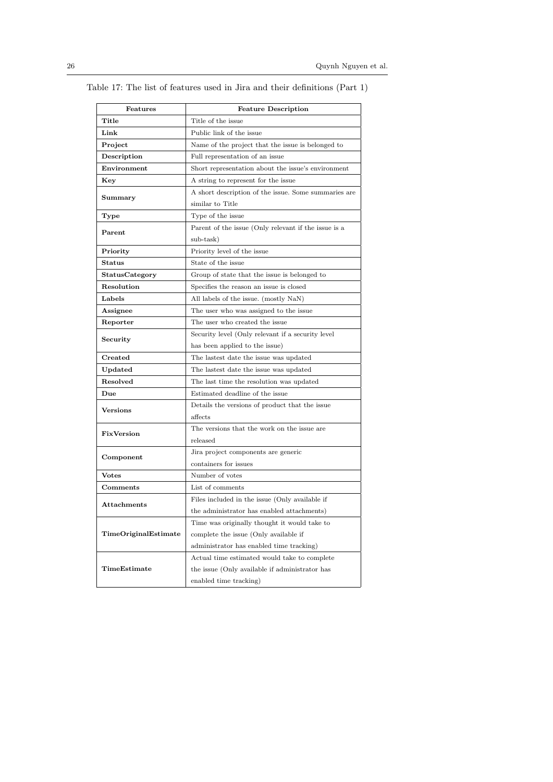| Features             | <b>Feature Description</b>                           |  |
|----------------------|------------------------------------------------------|--|
| Title                | Title of the issue                                   |  |
| Link                 | Public link of the issue                             |  |
| Project              | Name of the project that the issue is belonged to    |  |
| Description          | Full representation of an issue                      |  |
| Environment          | Short representation about the issue's environment   |  |
| Key                  | A string to represent for the issue                  |  |
| Summary              | A short description of the issue. Some summaries are |  |
|                      | similar to Title                                     |  |
| Type                 | Type of the issue                                    |  |
| Parent               | Parent of the issue (Only relevant if the issue is a |  |
|                      | sub-task)                                            |  |
| Priority             | Priority level of the issue                          |  |
| <b>Status</b>        | State of the issue                                   |  |
| StatusCategory       | Group of state that the issue is belonged to         |  |
| Resolution           | Specifies the reason an issue is closed              |  |
| Labels               | All labels of the issue. (mostly NaN)                |  |
| Assignee             | The user who was assigned to the issue               |  |
| Reporter             | The user who created the issue                       |  |
| Security             | Security level (Only relevant if a security level    |  |
|                      | has been applied to the issue)                       |  |
| Created              | The lastest date the issue was updated               |  |
| Updated              | The lastest date the issue was updated               |  |
| Resolved             | The last time the resolution was updated             |  |
| Due                  | Estimated deadline of the issue                      |  |
| <b>Versions</b>      | Details the versions of product that the issue       |  |
|                      | affects                                              |  |
| FixVersion           | The versions that the work on the issue are          |  |
|                      | released                                             |  |
| Component            | Jira project components are generic                  |  |
|                      | containers for issues                                |  |
| <b>Votes</b>         | Number of votes                                      |  |
| $Comments$           | List of comments                                     |  |
| <b>Attachments</b>   | Files included in the issue (Only available if       |  |
|                      | the administrator has enabled attachments)           |  |
| TimeOriginalEstimate | Time was originally thought it would take to         |  |
|                      | complete the issue (Only available if                |  |
|                      | administrator has enabled time tracking)             |  |
|                      | Actual time estimated would take to complete         |  |
| TimeEstimate         | the issue (Only available if administrator has       |  |
|                      | enabled time tracking)                               |  |

<span id="page-25-0"></span>Table 17: The list of features used in Jira and their definitions (Part 1)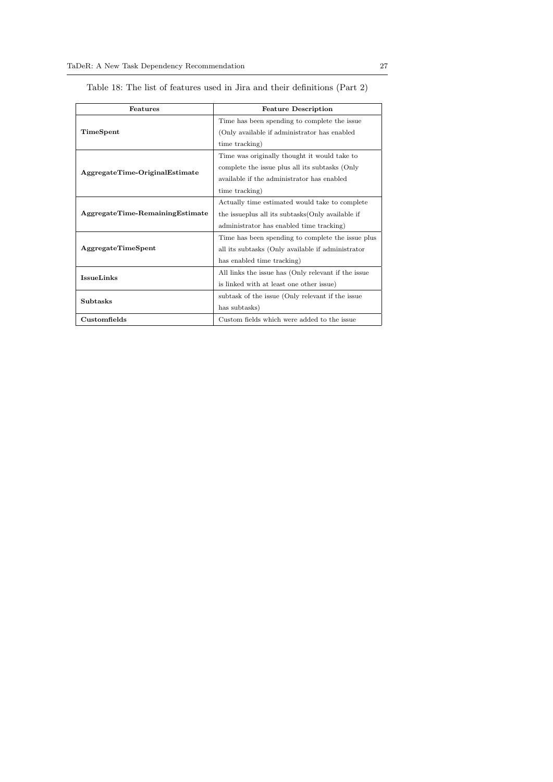| Features                        | <b>Feature Description</b>                          |  |  |
|---------------------------------|-----------------------------------------------------|--|--|
|                                 | Time has been spending to complete the issue        |  |  |
| TimeSpent                       | (Only available if administrator has enabled        |  |  |
|                                 | time tracking)                                      |  |  |
|                                 | Time was originally thought it would take to        |  |  |
| AggregateTime-OriginalEstimate  | complete the issue plus all its subtasks (Only      |  |  |
|                                 | available if the administrator has enabled          |  |  |
|                                 | time tracking)                                      |  |  |
|                                 | Actually time estimated would take to complete      |  |  |
| AggregateTime-RemainingEstimate | the issueplus all its subtasks (Only available if   |  |  |
|                                 | administrator has enabled time tracking)            |  |  |
|                                 | Time has been spending to complete the issue plus   |  |  |
| AggregateTimeSpent              | all its subtasks (Only available if administrator   |  |  |
|                                 | has enabled time tracking)                          |  |  |
| <b>IssueLinks</b>               | All links the issue has (Only relevant if the issue |  |  |
|                                 | is linked with at least one other issue)            |  |  |
| <b>Subtasks</b>                 | subtask of the issue (Only relevant if the issue    |  |  |
|                                 | has subtasks)                                       |  |  |
| Customfields                    | Custom fields which were added to the issue         |  |  |

<span id="page-26-0"></span>Table 18: The list of features used in Jira and their definitions (Part 2)